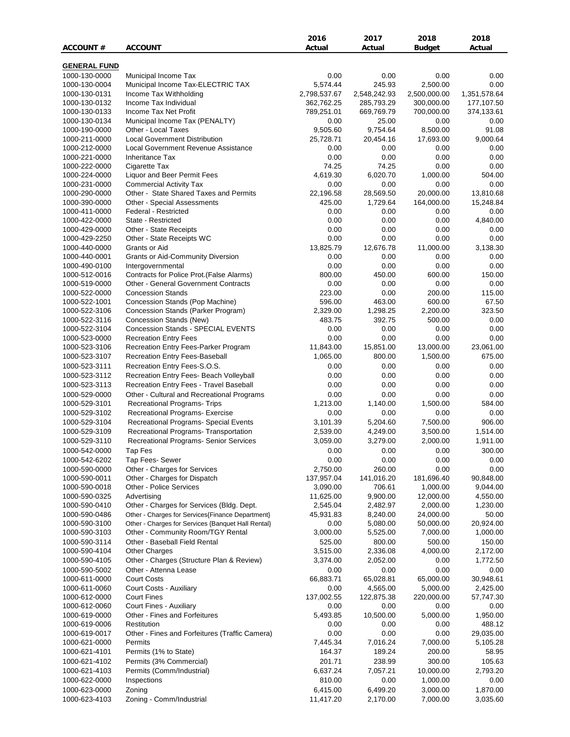|                                |                                                               | 2016               | 2017               | 2018             | 2018                  |
|--------------------------------|---------------------------------------------------------------|--------------------|--------------------|------------------|-----------------------|
| ACCOUNT#                       | <b>ACCOUNT</b>                                                | Actual             | Actual             | Budget           | Actual                |
|                                |                                                               |                    |                    |                  |                       |
| <b>GENERAL FUND</b>            |                                                               |                    |                    |                  |                       |
| 1000-130-0000<br>1000-130-0004 | Municipal Income Tax<br>Municipal Income Tax-ELECTRIC TAX     | 0.00<br>5,574.44   | 0.00<br>245.93     | 0.00<br>2,500.00 | 0.00<br>0.00          |
| 1000-130-0131                  | Income Tax Withholding                                        | 2,798,537.67       | 2,548,242.93       | 2,500,000.00     | 1,351,578.64          |
| 1000-130-0132                  | Income Tax Individual                                         | 362,762.25         | 285,793.29         | 300,000.00       | 177,107.50            |
| 1000-130-0133                  | Income Tax Net Profit                                         | 789,251.01         | 669,769.79         | 700,000.00       | 374,133.61            |
| 1000-130-0134                  | Municipal Income Tax (PENALTY)                                | 0.00               | 25.00              | 0.00             | 0.00                  |
| 1000-190-0000                  | Other - Local Taxes                                           | 9,505.60           | 9,754.64           | 8,500.00         | 91.08                 |
| 1000-211-0000                  | <b>Local Government Distribution</b>                          | 25,728.71          | 20,454.16          | 17,693.00        | 9,000.64              |
| 1000-212-0000                  | Local Government Revenue Assistance                           | 0.00               | 0.00               | 0.00             | 0.00                  |
| 1000-221-0000                  | <b>Inheritance Tax</b>                                        | 0.00               | 0.00               | 0.00             | 0.00                  |
| 1000-222-0000                  | Cigarette Tax                                                 | 74.25              | 74.25              | 0.00             | 0.00                  |
| 1000-224-0000                  | Liquor and Beer Permit Fees                                   | 4,619.30           | 6,020.70           | 1,000.00         | 504.00                |
| 1000-231-0000                  | <b>Commercial Activity Tax</b>                                | 0.00               | 0.00               | 0.00             | 0.00                  |
| 1000-290-0000                  | Other - State Shared Taxes and Permits                        | 22,196.58          | 28,569.50          | 20,000.00        | 13,810.68             |
| 1000-390-0000                  | Other - Special Assessments                                   | 425.00             | 1,729.64           | 164,000.00       | 15,248.84             |
| 1000-411-0000                  | Federal - Restricted                                          | 0.00               | 0.00               | 0.00             | 0.00                  |
| 1000-422-0000                  | State - Restricted                                            | 0.00               | 0.00               | 0.00             | 4,840.00              |
| 1000-429-0000                  | Other - State Receipts                                        | 0.00               | 0.00               | 0.00             | 0.00                  |
| 1000-429-2250                  | Other - State Receipts WC                                     | 0.00               | 0.00               | 0.00             | 0.00                  |
| 1000-440-0000                  | Grants or Aid                                                 | 13,825.79          | 12,676.78          | 11,000.00        | 3,138.30              |
| 1000-440-0001                  | <b>Grants or Aid-Community Diversion</b>                      | 0.00               | 0.00               | 0.00             | 0.00                  |
| 1000-490-0100                  | Intergovernmental                                             | 0.00               | 0.00               | 0.00             | 0.00                  |
| 1000-512-0016                  | Contracts for Police Prot. (False Alarms)                     | 800.00             | 450.00             | 600.00           | 150.00                |
| 1000-519-0000                  | <b>Other - General Government Contracts</b>                   | 0.00               | 0.00               | 0.00             | 0.00                  |
| 1000-522-0000                  | <b>Concession Stands</b>                                      | 223.00             | 0.00               | 200.00           | 115.00                |
| 1000-522-1001                  | Concession Stands (Pop Machine)                               | 596.00             | 463.00             | 600.00           | 67.50                 |
| 1000-522-3106                  | Concession Stands (Parker Program)                            | 2,329.00<br>483.75 | 1,298.25<br>392.75 | 2,200.00         | 323.50<br>0.00        |
| 1000-522-3116<br>1000-522-3104 | Concession Stands (New)<br>Concession Stands - SPECIAL EVENTS | 0.00               | 0.00               | 500.00<br>0.00   | 0.00                  |
| 1000-523-0000                  | <b>Recreation Entry Fees</b>                                  | 0.00               | 0.00               | 0.00             | 0.00                  |
| 1000-523-3106                  | Recreation Entry Fees-Parker Program                          | 11,843.00          | 15,851.00          | 13,000.00        | 23,061.00             |
| 1000-523-3107                  | Recreation Entry Fees-Baseball                                | 1,065.00           | 800.00             | 1,500.00         | 675.00                |
| 1000-523-3111                  | Recreation Entry Fees-S.O.S.                                  | 0.00               | 0.00               | 0.00             | 0.00                  |
| 1000-523-3112                  | Recreation Entry Fees- Beach Volleyball                       | 0.00               | 0.00               | 0.00             | 0.00                  |
| 1000-523-3113                  | Recreation Entry Fees - Travel Baseball                       | 0.00               | 0.00               | 0.00             | 0.00                  |
| 1000-529-0000                  | Other - Cultural and Recreational Programs                    | 0.00               | 0.00               | 0.00             | 0.00                  |
| 1000-529-3101                  | Recreational Programs- Trips                                  | 1,213.00           | 1,140.00           | 1,500.00         | 584.00                |
| 1000-529-3102                  | Recreational Programs- Exercise                               | 0.00               | 0.00               | 0.00             | 0.00                  |
| 1000-529-3104                  | Recreational Programs- Special Events                         | 3,101.39           | 5,204.60           | 7,500.00         | 906.00                |
| 1000-529-3109                  | Recreational Programs- Transportation                         | 2,539.00           | 4,249.00           | 3,500.00         | 1,514.00              |
| 1000-529-3110                  | Recreational Programs- Senior Services                        | 3,059.00           | 3,279.00           | 2,000.00         | 1,911.00              |
| 1000-542-0000                  | Tap Fes                                                       | 0.00               | 0.00               | 0.00             | 300.00                |
| 1000-542-6202                  | Tap Fees- Sewer                                               | 0.00               | 0.00               | 0.00             | 0.00                  |
| 1000-590-0000                  | Other - Charges for Services                                  | 2,750.00           | 260.00             | 0.00             | 0.00                  |
| 1000-590-0011                  | Other - Charges for Dispatch                                  | 137,957.04         | 141,016.20         | 181,696.40       | 90,848.00             |
| 1000-590-0018                  | Other - Police Services                                       | 3,090.00           | 706.61             | 1,000.00         | 9,044.00              |
| 1000-590-0325                  | Advertising                                                   | 11,625.00          | 9,900.00           | 12,000.00        | 4,550.00              |
| 1000-590-0410                  | Other - Charges for Services (Bldg. Dept.                     | 2,545.04           | 2,482.97           | 2,000.00         | 1,230.00              |
| 1000-590-0486                  | Other - Charges for Services{Finance Department}              | 45,931.83          | 8,240.00           | 24,000.00        | 50.00                 |
| 1000-590-3100                  | Other - Charges for Services {Banquet Hall Rental}            | 0.00               | 5,080.00           | 50,000.00        | 20,924.00             |
| 1000-590-3103                  | Other - Community Room/TGY Rental                             | 3,000.00           | 5,525.00           | 7,000.00         | 1,000.00              |
| 1000-590-3114                  | Other - Baseball Field Rental                                 | 525.00             | 800.00             | 500.00           | 150.00                |
| 1000-590-4104                  | <b>Other Charges</b>                                          | 3,515.00           | 2,336.08           | 4,000.00         | 2,172.00              |
| 1000-590-4105                  | Other - Charges (Structure Plan & Review)                     | 3,374.00           | 2,052.00           | 0.00             | 1,772.50              |
| 1000-590-5002                  | Other - Attenna Lease                                         | 0.00               | 0.00               | 0.00             | 0.00                  |
| 1000-611-0000                  | <b>Court Costs</b>                                            | 66,883.71          | 65,028.81          | 65,000.00        | 30,948.61             |
| 1000-611-0060                  | Court Costs - Auxiliary                                       | 0.00               | 4,565.00           | 5,000.00         | 2,425.00              |
| 1000-612-0000                  | <b>Court Fines</b>                                            | 137,002.55         | 122,875.38         | 220,000.00       | 57,747.30             |
| 1000-612-0060                  | Court Fines - Auxiliary                                       | 0.00               | 0.00               | 0.00             | 0.00<br>1,950.00      |
| 1000-619-0000                  | Other - Fines and Forfeitures<br>Restitution                  | 5,493.85           | 10,500.00          | 5,000.00         |                       |
| 1000-619-0006                  |                                                               | 0.00<br>0.00       | 0.00               | 0.00<br>0.00     | 488.12                |
| 1000-619-0017<br>1000-621-0000 | Other - Fines and Forfeitures (Traffic Camera)<br>Permits     | 7,445.34           | 0.00<br>7,016.24   | 7,000.00         | 29,035.00<br>5,105.28 |
| 1000-621-4101                  | Permits (1% to State)                                         | 164.37             | 189.24             | 200.00           | 58.95                 |
| 1000-621-4102                  | Permits (3% Commercial)                                       | 201.71             | 238.99             | 300.00           | 105.63                |
| 1000-621-4103                  | Permits (Comm/Industrial)                                     | 6,637.24           | 7,057.21           | 10,000.00        | 2,793.20              |
| 1000-622-0000                  | Inspections                                                   | 810.00             | 0.00               | 1,000.00         | 0.00                  |
| 1000-623-0000                  | Zoning                                                        | 6,415.00           | 6,499.20           | 3,000.00         | 1,870.00              |
| 1000-623-4103                  | Zoning - Comm/Industrial                                      | 11,417.20          | 2,170.00           | 7,000.00         | 3,035.60              |
|                                |                                                               |                    |                    |                  |                       |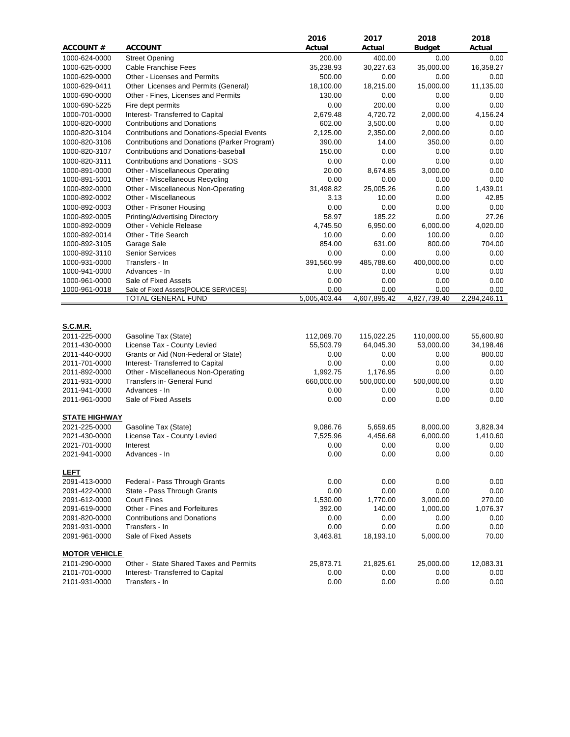|                      |                                                                     | 2016         | 2017         | 2018          | 2018         |
|----------------------|---------------------------------------------------------------------|--------------|--------------|---------------|--------------|
| <b>ACCOUNT#</b>      | <b>ACCOUNT</b>                                                      | Actual       | Actual       | <b>Budget</b> | Actual       |
| 1000-624-0000        | <b>Street Opening</b>                                               | 200.00       | 400.00       | 0.00          | 0.00         |
| 1000-625-0000        | Cable Franchise Fees                                                | 35,238.93    | 30,227.63    | 35,000.00     | 16,358.27    |
| 1000-629-0000        | Other - Licenses and Permits                                        | 500.00       | 0.00         | 0.00          | 0.00         |
| 1000-629-0411        | Other Licenses and Permits (General)                                | 18,100.00    | 18,215.00    | 15,000.00     | 11,135.00    |
| 1000-690-0000        | Other - Fines, Licenses and Permits                                 | 130.00       | 0.00         | 0.00          | 0.00         |
| 1000-690-5225        | Fire dept permits                                                   | 0.00         | 200.00       | 0.00          | 0.00         |
| 1000-701-0000        | Interest- Transferred to Capital                                    | 2,679.48     | 4,720.72     | 2,000.00      | 4,156.24     |
| 1000-820-0000        | <b>Contributions and Donations</b>                                  | 602.00       | 3,500.00     | 0.00          | 0.00         |
| 1000-820-3104        | <b>Contributions and Donations-Special Events</b>                   | 2,125.00     | 2,350.00     | 2,000.00      | 0.00         |
| 1000-820-3106        | Contributions and Donations (Parker Program)                        | 390.00       | 14.00        | 350.00        | 0.00         |
| 1000-820-3107        | Contributions and Donations-baseball                                | 150.00       | 0.00         | 0.00          | 0.00         |
| 1000-820-3111        | Contributions and Donations - SOS                                   | 0.00         | 0.00         | 0.00          | 0.00         |
| 1000-891-0000        | Other - Miscellaneous Operating                                     | 20.00        | 8,674.85     | 3,000.00      | 0.00         |
| 1000-891-5001        | Other - Miscellaneous Recycling                                     | 0.00         | 0.00         | 0.00          | 0.00         |
| 1000-892-0000        | Other - Miscellaneous Non-Operating                                 | 31,498.82    | 25,005.26    | 0.00          | 1,439.01     |
| 1000-892-0002        | Other - Miscellaneous                                               | 3.13         | 10.00        | 0.00          | 42.85        |
| 1000-892-0003        | Other - Prisoner Housing                                            | 0.00         | 0.00         | 0.00          | 0.00         |
| 1000-892-0005        | Printing/Advertising Directory                                      | 58.97        | 185.22       | 0.00          | 27.26        |
| 1000-892-0009        | Other - Vehicle Release                                             | 4,745.50     | 6,950.00     | 6,000.00      | 4,020.00     |
| 1000-892-0014        | Other - Title Search                                                | 10.00        | 0.00         | 100.00        | 0.00         |
| 1000-892-3105        | Garage Sale                                                         | 854.00       | 631.00       | 800.00        | 704.00       |
| 1000-892-3110        | <b>Senior Services</b>                                              | 0.00         | 0.00         | 0.00          | 0.00         |
| 1000-931-0000        | Transfers - In                                                      | 391,560.99   | 485,788.60   | 400,000.00    | 0.00         |
| 1000-941-0000        | Advances - In                                                       | 0.00         | 0.00         | 0.00          | 0.00         |
| 1000-961-0000        | Sale of Fixed Assets                                                | 0.00         | 0.00         | 0.00          | 0.00         |
| 1000-961-0018        | Sale of Fixed Assets{POLICE SERVICES}                               | 0.00         | 0.00         | 0.00          | 0.00         |
|                      | TOTAL GENERAL FUND                                                  | 5,005,403.44 | 4,607,895.42 | 4,827,739.40  | 2,284,246.11 |
|                      |                                                                     |              |              |               |              |
| S.C.M.R.             |                                                                     |              |              |               |              |
| 2011-225-0000        | Gasoline Tax (State)                                                | 112,069.70   | 115,022.25   | 110,000.00    | 55,600.90    |
| 2011-430-0000        | License Tax - County Levied                                         | 55,503.79    | 64,045.30    | 53,000.00     | 34,198.46    |
| 2011-440-0000        | Grants or Aid (Non-Federal or State)                                | 0.00         | 0.00         | 0.00          | 800.00       |
| 2011-701-0000        | Interest- Transferred to Capital                                    | 0.00         | 0.00         | 0.00          | 0.00         |
| 2011-892-0000        | Other - Miscellaneous Non-Operating                                 | 1,992.75     | 1,176.95     | 0.00          | 0.00         |
| 2011-931-0000        | Transfers in- General Fund                                          | 660,000.00   | 500,000.00   | 500,000.00    | 0.00         |
| 2011-941-0000        | Advances - In                                                       | 0.00         | 0.00         | 0.00          | 0.00         |
| 2011-961-0000        | Sale of Fixed Assets                                                | 0.00         | 0.00         | 0.00          | 0.00         |
|                      |                                                                     |              |              |               |              |
| <b>STATE HIGHWAY</b> |                                                                     |              |              |               |              |
| 2021-225-0000        | Gasoline Tax (State)                                                | 9,086.76     | 5,659.65     | 8,000.00      | 3,828.34     |
| 2021-430-0000        | License Tax - County Levied                                         | 7,525.96     | 4,456.68     | 6,000.00      | 1,410.60     |
| 2021-701-0000        | Interest                                                            | 0.00         | 0.00         | 0.00          | 0.00         |
| 2021-941-0000        | Advances - In                                                       | 0.00         | 0.00         | 0.00          | 0.00         |
|                      |                                                                     |              |              |               |              |
| <b>LEFT</b>          |                                                                     |              |              |               |              |
| 2091-413-0000        | Federal - Pass Through Grants                                       | 0.00         | 0.00         | 0.00          | 0.00         |
| 2091-422-0000        | State - Pass Through Grants                                         | 0.00         | 0.00         | 0.00          | 0.00         |
| 2091-612-0000        | <b>Court Fines</b>                                                  | 1,530.00     | 1,770.00     | 3,000.00      | 270.00       |
| 2091-619-0000        | Other - Fines and Forfeitures<br><b>Contributions and Donations</b> | 392.00       | 140.00       | 1,000.00      | 1,076.37     |
| 2091-820-0000        |                                                                     | 0.00         | 0.00         | 0.00          | $0.00\,$     |
| 2091-931-0000        | Transfers - In<br>Sale of Fixed Assets                              | 0.00         | 0.00         | 0.00          | 0.00         |
| 2091-961-0000        |                                                                     | 3,463.81     | 18,193.10    | 5,000.00      | 70.00        |
| <b>MOTOR VEHICLE</b> |                                                                     |              |              |               |              |
| 2101-290-0000        | Other - State Shared Taxes and Permits                              | 25,873.71    | 21,825.61    | 25,000.00     | 12,083.31    |
| 2101-701-0000        | Interest- Transferred to Capital                                    | 0.00         | 0.00         | 0.00          | 0.00         |
| 2101-931-0000        | Transfers - In                                                      | 0.00         | 0.00         | 0.00          | 0.00         |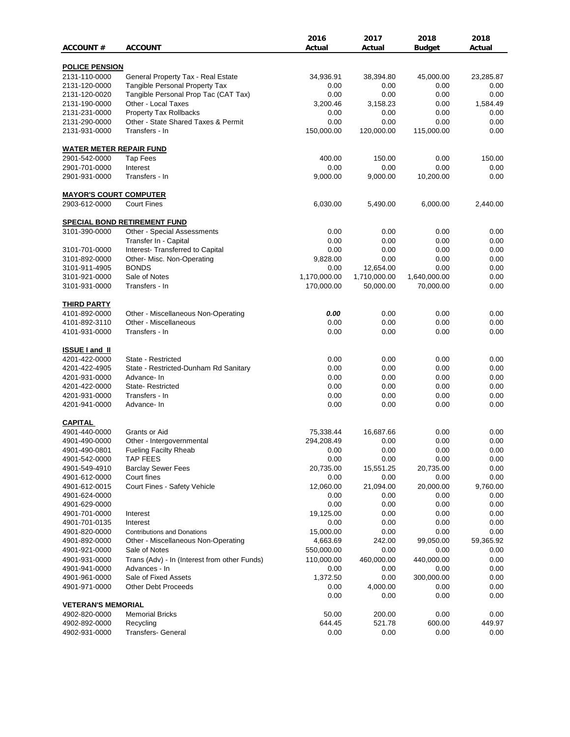|                                 |                                                                | 2016             | 2017         | 2018          | 2018         |
|---------------------------------|----------------------------------------------------------------|------------------|--------------|---------------|--------------|
| <b>ACCOUNT#</b>                 | <b>ACCOUNT</b>                                                 | Actual           | Actual       | <b>Budget</b> | Actual       |
| <b>POLICE PENSION</b>           |                                                                |                  |              |               |              |
| 2131-110-0000                   | General Property Tax - Real Estate                             | 34,936.91        | 38,394.80    | 45,000.00     | 23,285.87    |
| 2131-120-0000                   | <b>Tangible Personal Property Tax</b>                          | 0.00             | 0.00         | 0.00          | 0.00         |
| 2131-120-0020                   | Tangible Personal Prop Tac (CAT Tax)                           | 0.00             | 0.00         | 0.00          | 0.00         |
| 2131-190-0000                   | Other - Local Taxes                                            | 3,200.46         | 3,158.23     | 0.00          | 1,584.49     |
| 2131-231-0000                   | Property Tax Rollbacks                                         | 0.00             | 0.00         | 0.00          | 0.00         |
| 2131-290-0000                   | Other - State Shared Taxes & Permit                            | 0.00             | 0.00         | 0.00          | 0.00         |
| 2131-931-0000                   | Transfers - In                                                 | 150,000.00       | 120,000.00   | 115,000.00    | 0.00         |
| <b>WATER METER REPAIR FUND</b>  |                                                                |                  |              |               |              |
| 2901-542-0000                   | <b>Tap Fees</b>                                                | 400.00           | 150.00       | 0.00          | 150.00       |
| 2901-701-0000                   | Interest                                                       | 0.00             | 0.00         | 0.00          | 0.00         |
| 2901-931-0000                   | Transfers - In                                                 | 9,000.00         | 9,000.00     | 10,200.00     | 0.00         |
| <b>MAYOR'S COURT COMPUTER</b>   |                                                                |                  |              |               |              |
| 2903-612-0000                   | <b>Court Fines</b>                                             | 6,030.00         | 5,490.00     | 6,000.00      | 2,440.00     |
|                                 |                                                                |                  |              |               |              |
| 3101-390-0000                   | <b>SPECIAL BOND RETIREMENT FUND</b>                            | 0.00             | 0.00         | 0.00          | 0.00         |
|                                 | Other - Special Assessments                                    | 0.00             | 0.00         | 0.00          | 0.00         |
|                                 | Transfer In - Capital                                          |                  |              |               |              |
| 3101-701-0000<br>3101-892-0000  | Interest- Transferred to Capital<br>Other- Misc. Non-Operating | 0.00<br>9,828.00 | 0.00<br>0.00 | 0.00<br>0.00  | 0.00<br>0.00 |
|                                 | <b>BONDS</b>                                                   |                  |              | 0.00          | 0.00         |
| 3101-911-4905                   |                                                                | 0.00             | 12,654.00    |               |              |
| 3101-921-0000                   | Sale of Notes                                                  | 1,170,000.00     | 1,710,000.00 | 1,640,000.00  | 0.00         |
| 3101-931-0000                   | Transfers - In                                                 | 170,000.00       | 50,000.00    | 70,000.00     | 0.00         |
| <b>THIRD PARTY</b>              |                                                                |                  |              |               |              |
| 4101-892-0000                   | Other - Miscellaneous Non-Operating                            | 0.00             | 0.00         | 0.00          | 0.00         |
| 4101-892-3110                   | Other - Miscellaneous                                          | 0.00             | 0.00         | 0.00          | 0.00         |
| 4101-931-0000                   | Transfers - In                                                 | 0.00             | 0.00         | 0.00          | 0.00         |
| <b>ISSUE I and II</b>           |                                                                |                  |              |               |              |
| 4201-422-0000                   | State - Restricted                                             | 0.00             | 0.00         | 0.00          | 0.00         |
| 4201-422-4905                   | State - Restricted-Dunham Rd Sanitary                          | 0.00             | 0.00         | 0.00          | 0.00         |
| 4201-931-0000                   | Advance-In                                                     | 0.00             | 0.00         | 0.00          | 0.00         |
| 4201-422-0000                   | <b>State-Restricted</b>                                        | 0.00             | 0.00         | 0.00          | 0.00         |
| 4201-931-0000                   | Transfers - In                                                 | 0.00             | 0.00         | 0.00          | 0.00         |
| 4201-941-0000                   | Advance- In                                                    | 0.00             | 0.00         | 0.00          | 0.00         |
|                                 |                                                                |                  |              |               |              |
| <b>CAPITAL</b><br>4901-440-0000 | Grants or Aid                                                  | 75,338.44        | 16,687.66    | 0.00          | 0.00         |
| 4901-490-0000                   | Other - Intergovernmental                                      | 294,208.49       | 0.00         | 0.00          | 0.00         |
| 4901-490-0801                   | <b>Fueling Facilty Rheab</b>                                   | 0.00             | 0.00         | 0.00          | 0.00         |
| 4901-542-0000                   | <b>TAP FEES</b>                                                | 0.00             | 0.00         | 0.00          | 0.00         |
| 4901-549-4910                   | <b>Barclay Sewer Fees</b>                                      | 20,735.00        | 15,551.25    | 20,735.00     | 0.00         |
| 4901-612-0000                   | Court fines                                                    | 0.00             | 0.00         | 0.00          | 0.00         |
| 4901-612-0015                   | Court Fines - Safety Vehicle                                   | 12,060.00        | 21,094.00    | 20,000.00     | 9,760.00     |
| 4901-624-0000                   |                                                                | 0.00             | 0.00         | 0.00          | 0.00         |
| 4901-629-0000                   |                                                                | 0.00             | 0.00         | 0.00          | 0.00         |
| 4901-701-0000                   | Interest                                                       | 19,125.00        | 0.00         | 0.00          | 0.00         |
| 4901-701-0135                   | Interest                                                       | 0.00             | 0.00         | 0.00          | 0.00         |
| 4901-820-0000                   | <b>Contributions and Donations</b>                             | 15,000.00        | 0.00         | 0.00          | 0.00         |
| 4901-892-0000                   | Other - Miscellaneous Non-Operating                            | 4,663.69         | 242.00       | 99,050.00     | 59,365.92    |
|                                 |                                                                |                  |              |               |              |
| 4901-921-0000                   | Sale of Notes                                                  | 550,000.00       | 0.00         | 0.00          | 0.00         |
| 4901-931-0000                   | Trans (Adv) - In (Interest from other Funds)                   | 110,000.00       | 460,000.00   | 440,000.00    | 0.00         |
| 4901-941-0000                   | Advances - In                                                  | 0.00             | 0.00         | 0.00          | 0.00         |
| 4901-961-0000                   | Sale of Fixed Assets                                           | 1,372.50         | 0.00         | 300,000.00    | 0.00         |
| 4901-971-0000                   | <b>Other Debt Proceeds</b>                                     | 0.00             | 4,000.00     | 0.00          | 0.00         |
| <b>VETERAN'S MEMORIAL</b>       |                                                                | 0.00             | 0.00         | 0.00          | 0.00         |
| 4902-820-0000                   | <b>Memorial Bricks</b>                                         | 50.00            | 200.00       | 0.00          | 0.00         |
| 4902-892-0000                   | Recycling                                                      | 644.45           | 521.78       | 600.00        | 449.97       |
| 4902-931-0000                   | Transfers- General                                             | 0.00             | 0.00         | 0.00          | 0.00         |
|                                 |                                                                |                  |              |               |              |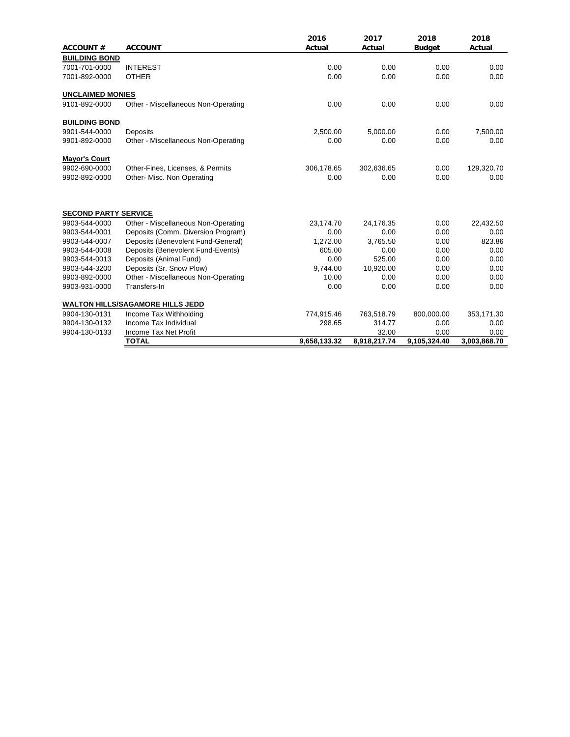| <b>ACCOUNT#</b>             | <b>ACCOUNT</b>                          | 2016<br>Actual | 2017<br>Actual | 2018<br><b>Budget</b> | 2018<br>Actual |
|-----------------------------|-----------------------------------------|----------------|----------------|-----------------------|----------------|
| <b>BUILDING BOND</b>        |                                         |                |                |                       |                |
| 7001-701-0000               | <b>INTEREST</b>                         | 0.00           | 0.00           | 0.00                  | 0.00           |
| 7001-892-0000               | <b>OTHER</b>                            | 0.00           | 0.00           | 0.00                  | 0.00           |
| <b>UNCLAIMED MONIES</b>     |                                         |                |                |                       |                |
| 9101-892-0000               | Other - Miscellaneous Non-Operating     | 0.00           | 0.00           | 0.00                  | 0.00           |
| <b>BUILDING BOND</b>        |                                         |                |                |                       |                |
| 9901-544-0000               | Deposits                                | 2,500.00       | 5,000.00       | 0.00                  | 7,500.00       |
| 9901-892-0000               | Other - Miscellaneous Non-Operating     | 0.00           | 0.00           | 0.00                  | 0.00           |
| <b>Mayor's Court</b>        |                                         |                |                |                       |                |
| 9902-690-0000               | Other-Fines, Licenses, & Permits        | 306,178.65     | 302,636.65     | 0.00                  | 129,320.70     |
| 9902-892-0000               | Other- Misc. Non Operating              | 0.00           | 0.00           | 0.00                  | 0.00           |
| <b>SECOND PARTY SERVICE</b> |                                         |                |                |                       |                |
| 9903-544-0000               | Other - Miscellaneous Non-Operating     | 23,174.70      | 24,176.35      | 0.00                  | 22,432.50      |
| 9903-544-0001               | Deposits (Comm. Diversion Program)      | 0.00           | 0.00           | 0.00                  | 0.00           |
| 9903-544-0007               | Deposits (Benevolent Fund-General)      | 1,272.00       | 3,765.50       | 0.00                  | 823.86         |
| 9903-544-0008               | Deposits (Benevolent Fund-Events)       | 605.00         | 0.00           | 0.00                  | 0.00           |
| 9903-544-0013               | Deposits (Animal Fund)                  | 0.00           | 525.00         | 0.00                  | 0.00           |
| 9903-544-3200               | Deposits (Sr. Snow Plow)                | 9,744.00       | 10,920.00      | 0.00                  | 0.00           |
| 9903-892-0000               | Other - Miscellaneous Non-Operating     | 10.00          | 0.00           | 0.00                  | 0.00           |
| 9903-931-0000               | Transfers-In                            | 0.00           | 0.00           | 0.00                  | 0.00           |
|                             | <b>WALTON HILLS/SAGAMORE HILLS JEDD</b> |                |                |                       |                |
| 9904-130-0131               | Income Tax Withholding                  | 774,915.46     | 763,518.79     | 800,000.00            | 353,171.30     |
| 9904-130-0132               | Income Tax Individual                   | 298.65         | 314.77         | 0.00                  | 0.00           |
| 9904-130-0133               | Income Tax Net Profit                   |                | 32.00          | 0.00                  | 0.00           |
|                             | <b>TOTAL</b>                            | 9,658,133.32   | 8,918,217.74   | 9,105,324.40          | 3,003,868.70   |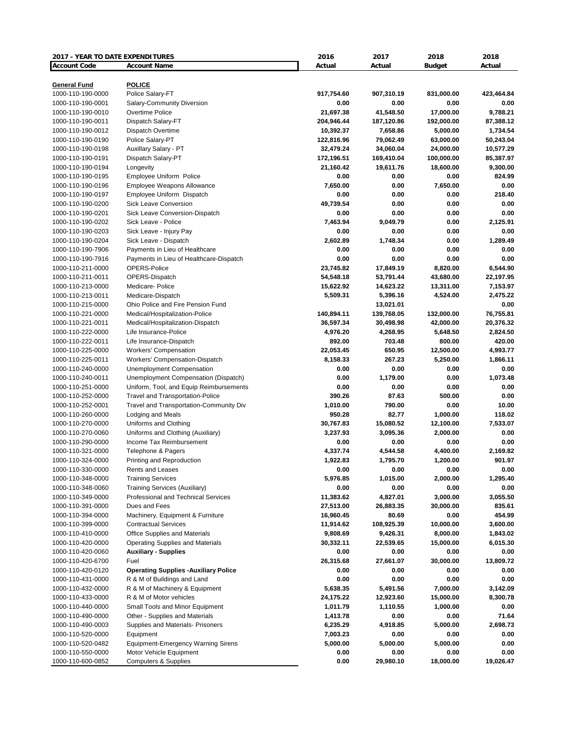| 2017 - YEAR TO DATE EXPENDITURES |                                             | 2016       | 2017       | 2018          | 2018       |
|----------------------------------|---------------------------------------------|------------|------------|---------------|------------|
| <b>Account Code</b>              | <b>Account Name</b>                         | Actual     | Actual     | <b>Budget</b> | Actual     |
|                                  |                                             |            |            |               |            |
| <b>General Fund</b>              | <b>POLICE</b>                               |            |            |               |            |
| 1000-110-190-0000                | Police Salary-FT                            | 917,754.60 | 907,310.19 | 831,000.00    | 423,464.84 |
| 1000-110-190-0001                | Salary-Community Diversion                  | 0.00       | 0.00       | 0.00          | 0.00       |
| 1000-110-190-0010                | Overtime Police                             | 21,697.38  | 41,548.50  | 17,000.00     | 9,788.21   |
| 1000-110-190-0011                | Dispatch Salary-FT                          | 204,946.44 | 187,120.86 | 192,000.00    | 87,388.12  |
| 1000-110-190-0012                | Dispatch Overtime                           | 10,392.37  | 7,658.86   | 5,000.00      | 1,734.54   |
| 1000-110-190-0190                | Police Salary-PT                            | 122,816.96 | 79,062.49  | 63,000.00     | 50,243.04  |
| 1000-110-190-0198                | Auxillary Salary - PT                       | 32,479.24  | 34,060.04  | 24,000.00     | 10,577.29  |
| 1000-110-190-0191                | Dispatch Salary-PT                          | 172,196.51 | 169,410.04 | 100,000.00    | 85,387.97  |
| 1000-110-190-0194                | Longevity                                   | 21,160.42  | 19,611.76  | 18,600.00     | 9,300.00   |
| 1000-110-190-0195                | Employee Uniform Police                     | 0.00       | 0.00       | 0.00          | 824.99     |
| 1000-110-190-0196                | Employee Weapons Allowance                  | 7,650.00   | 0.00       | 7,650.00      | 0.00       |
| 1000-110-190-0197                | Employee Uniform Dispatch                   | 0.00       | 0.00       | 0.00          | 218.40     |
| 1000-110-190-0200                | <b>Sick Leave Conversion</b>                | 49,739.54  | 0.00       | 0.00          | 0.00       |
| 1000-110-190-0201                | Sick Leave Conversion-Dispatch              | 0.00       | 0.00       | 0.00          | 0.00       |
| 1000-110-190-0202                | Sick Leave - Police                         | 7,463.94   | 9,049.79   | 0.00          | 2,125.91   |
| 1000-110-190-0203                | Sick Leave - Injury Pay                     | 0.00       | 0.00       | 0.00          | 0.00       |
| 1000-110-190-0204                | Sick Leave - Dispatch                       | 2,602.89   | 1,748.34   | 0.00          | 1,289.49   |
| 1000-110-190-7906                | Payments in Lieu of Healthcare              | 0.00       | 0.00       | 0.00          | 0.00       |
| 1000-110-190-7916                | Payments in Lieu of Healthcare-Dispatch     | 0.00       | 0.00       | 0.00          | 0.00       |
| 1000-110-211-0000                | OPERS-Police                                | 23,745.82  | 17,849.19  | 8,820.00      | 6,544.90   |
| 1000-110-211-0011                | OPERS-Dispatch                              | 54,548.18  | 53,791.44  | 43,680.00     | 22,197.95  |
| 1000-110-213-0000                | Medicare- Police                            | 15,622.92  | 14,623.22  | 13,311.00     | 7,153.97   |
| 1000-110-213-0011                |                                             | 5,509.31   |            |               |            |
|                                  | Medicare-Dispatch                           |            | 5,396.16   | 4,524.00      | 2,475.22   |
| 1000-110-215-0000                | Ohio Police and Fire Pension Fund           |            | 13,021.01  |               | 0.00       |
| 1000-110-221-0000                | Medical/Hospitalization-Police              | 140,894.11 | 139,768.05 | 132,000.00    | 76,755.81  |
| 1000-110-221-0011                | Medical/Hospitalization-Dispatch            | 36,597.34  | 30,498.98  | 42,000.00     | 20,376.32  |
| 1000-110-222-0000                | Life Insurance-Police                       | 4,976.20   | 4,268.95   | 5,648.50      | 2,824.50   |
| 1000-110-222-0011                | Life Insurance-Dispatch                     | 892.00     | 703.48     | 800.00        | 420.00     |
| 1000-110-225-0000                | <b>Workers' Compensation</b>                | 22,053.45  | 650.95     | 12,500.00     | 4,993.77   |
| 1000-110-225-0011                | Workers' Compensation-Dispatch              | 8,158.33   | 267.23     | 5,250.00      | 1,866.11   |
| 1000-110-240-0000                | <b>Unemployment Compensation</b>            | 0.00       | 0.00       | 0.00          | 0.00       |
| 1000-110-240-0011                | Unemployment Compensation (Dispatch)        | 0.00       | 1,179.00   | 0.00          | 1,073.48   |
| 1000-110-251-0000                | Uniform, Tool, and Equip Reimbursements     | 0.00       | 0.00       | 0.00          | 0.00       |
| 1000-110-252-0000                | <b>Travel and Transportation-Police</b>     | 390.26     | 87.63      | 500.00        | 0.00       |
| 1000-110-252-0001                | Travel and Transportation-Community Div     | 1,010.00   | 790.00     | 0.00          | 10.00      |
| 1000-110-260-0000                | <b>Lodging and Meals</b>                    | 950.28     | 82.77      | 1,000.00      | 118.02     |
| 1000-110-270-0000                | Uniforms and Clothing                       | 30,767.83  | 15,080.52  | 12,100.00     | 7,533.07   |
| 1000-110-270-0060                | Uniforms and Clothing (Auxiliary)           | 3,237.93   | 3,095.36   | 2,000.00      | 0.00       |
| 1000-110-290-0000                | Income Tax Reimbursement                    | 0.00       | 0.00       | 0.00          | 0.00       |
| 1000-110-321-0000                | Telephone & Pagers                          | 4,337.74   | 4,544.58   | 4,400.00      | 2,169.82   |
| 1000-110-324-0000                | Printing and Reproduction                   | 1,922.83   | 1,795.70   | 1,200.00      | 901.97     |
| 1000-110-330-0000                | Rents and Leases                            | 0.00       | 0.00       | 0.00          | 0.00       |
| 1000-110-348-0000                | <b>Training Services</b>                    | 5,976.85   | 1,015.00   | 2,000.00      | 1,295.40   |
| 1000-110-348-0060                | <b>Training Services (Auxiliary)</b>        | 0.00       | 0.00       | 0.00          | 0.00       |
| 1000-110-349-0000                | Professional and Technical Services         | 11,383.62  | 4,827.01   | 3,000.00      | 3,055.50   |
| 1000-110-391-0000                | Dues and Fees                               | 27,513.00  | 26,883.35  | 30,000.00     | 835.61     |
| 1000-110-394-0000                | Machinery, Equipment & Furniture            | 16,960.45  | 80.69      | 0.00          | 454.99     |
| 1000-110-399-0000                | <b>Contractual Services</b>                 | 11,914.62  | 108,925.39 | 10,000.00     | 3,600.00   |
| 1000-110-410-0000                | Office Supplies and Materials               | 9,808.69   | 9,426.31   | 8,000.00      | 1,843.02   |
| 1000-110-420-0000                | Operating Supplies and Materials            | 30,332.11  | 22,539.65  | 15,000.00     | 6,015.30   |
| 1000-110-420-0060                | <b>Auxiliary - Supplies</b>                 | 0.00       | 0.00       | 0.00          | 0.00       |
| 1000-110-420-6700                | Fuel                                        | 26,315.68  | 27,661.07  | 30,000.00     | 13,809.72  |
| 1000-110-420-0120                | <b>Operating Supplies -Auxiliary Police</b> | 0.00       | 0.00       | 0.00          | 0.00       |
| 1000-110-431-0000                | R & M of Buildings and Land                 | 0.00       | 0.00       | 0.00          | 0.00       |
| 1000-110-432-0000                | R & M of Machinery & Equipment              | 5,638.35   | 5,491.56   | 7,000.00      | 3,142.09   |
| 1000-110-433-0000                | R & M of Motor vehicles                     | 24,175.22  | 12,923.60  | 15,000.00     | 8,300.78   |
|                                  | Small Tools and Minor Equipment             |            |            |               |            |
| 1000-110-440-0000                |                                             | 1,011.79   | 1,110.55   | 1,000.00      | 0.00       |
| 1000-110-490-0000                | Other - Supplies and Materials              | 1,413.78   | 0.00       | 0.00          | 71.64      |
| 1000-110-490-0003                | Supplies and Materials- Prisoners           | 6,235.29   | 4,918.85   | 5,000.00      | 2,698.73   |
| 1000-110-520-0000                | Equipment                                   | 7,003.23   | 0.00       | 0.00          | 0.00       |
| 1000-110-520-0482                | <b>Equipment-Emergency Warning Sirens</b>   | 5,000.00   | 5,000.00   | 5,000.00      | 0.00       |
| 1000-110-550-0000                | Motor Vehicle Equipment                     | 0.00       | 0.00       | 0.00          | 0.00       |
| 1000-110-600-0852                | <b>Computers &amp; Supplies</b>             | 0.00       | 29,980.10  | 18,000.00     | 19,026.47  |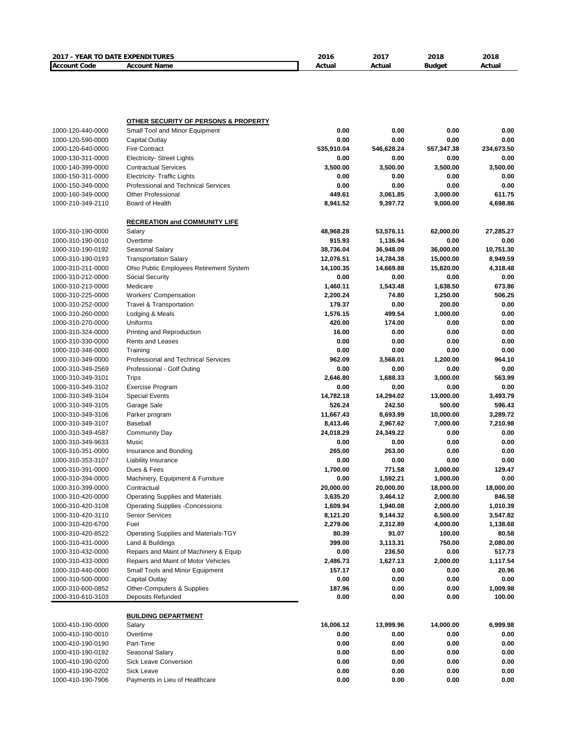| 2017 - YEAR TO DATE EXPENDITURES       |                                                                   | 2016           | 2017         | 2018         | 2018               |
|----------------------------------------|-------------------------------------------------------------------|----------------|--------------|--------------|--------------------|
| <b>Account Code</b>                    | <b>Account Name</b>                                               | Actual         | Actual       | Budget       | Actual             |
|                                        |                                                                   |                |              |              |                    |
|                                        |                                                                   |                |              |              |                    |
|                                        |                                                                   |                |              |              |                    |
|                                        |                                                                   |                |              |              |                    |
|                                        | <b>OTHER SECURITY OF PERSONS &amp; PROPERTY</b>                   |                |              |              |                    |
| 1000-120-440-0000                      | Small Tool and Minor Equipment                                    | 0.00           | 0.00         | 0.00         | 0.00               |
| 1000-120-590-0000                      | Capital Outlay                                                    | 0.00           | 0.00         | 0.00         | 0.00               |
| 1000-120-640-0000                      | <b>Fire Contract</b>                                              | 535,910.04     | 546,628.24   | 557,347.38   | 234,673.50         |
| 1000-130-311-0000                      | <b>Electricity- Street Lights</b>                                 | 0.00           | 0.00         | 0.00         | 0.00               |
| 1000-140-399-0000                      | <b>Contractual Services</b>                                       | 3,500.00       | 3,500.00     | 3,500.00     | 3,500.00           |
| 1000-150-311-0000                      | <b>Electricity- Traffic Lights</b>                                | 0.00           | 0.00         | 0.00         | 0.00               |
| 1000-150-349-0000                      | <b>Professional and Technical Services</b>                        | 0.00           | 0.00         | 0.00         | 0.00               |
| 1000-160-349-0000                      | <b>Other Professional</b>                                         | 449.61         | 3,061.85     | 3,000.00     | 611.75             |
| 1000-210-349-2110                      | Board of Health                                                   | 8,941.52       | 9,397.72     | 9,000.00     | 4,698.86           |
|                                        | <b>RECREATION and COMMUNITY LIFE</b>                              |                |              |              |                    |
| 1000-310-190-0000                      | Salary                                                            | 48,968.28      | 53,576.11    | 62,000.00    | 27,285.27          |
| 1000-310-190-0010                      | Overtime                                                          | 915.93         | 1,136.94     | 0.00         | 0.00               |
| 1000-310-190-0192                      | Seasonal Salary                                                   | 38,736.04      | 36,948.09    | 36,000.00    | 10,751.30          |
| 1000-310-190-0193                      | <b>Transportation Salary</b>                                      | 12,076.51      | 14,784.38    | 15,000.00    | 8,949.59           |
| 1000-310-211-0000                      | Ohio Public Employees Retirement System                           | 14,100.35      | 14,669.88    | 15,820.00    | 4,318.48           |
| 1000-310-212-0000                      | Social Security                                                   | 0.00           | 0.00         | 0.00         | 0.00               |
| 1000-310-213-0000                      | Medicare                                                          | 1,460.11       | 1,543.48     | 1,638.50     | 673.86             |
| 1000-310-225-0000                      | <b>Workers' Compensation</b>                                      | 2,200.24       | 74.80        | 1,250.00     | 506.25             |
| 1000-310-252-0000                      | <b>Travel &amp; Transportation</b>                                | 179.37         | 0.00         | 200.00       | 0.00               |
| 1000-310-260-0000                      | Lodging & Meals                                                   | 1,576.15       | 499.54       | 1,000.00     | 0.00               |
| 1000-310-270-0000                      | Uniforms                                                          | 420.00         | 174.00       | 0.00         | 0.00               |
| 1000-310-324-0000                      | Printing and Reproduction                                         | 16.00          | 0.00         | 0.00         | 0.00               |
| 1000-310-330-0000                      | <b>Rents and Leases</b>                                           | 0.00           | 0.00         | 0.00         | 0.00               |
| 1000-310-348-0000                      | Training                                                          | 0.00           | 0.00         | 0.00         | 0.00               |
| 1000-310-349-0000                      | Professional and Technical Services                               | 962.09         | 3,568.01     | 1,200.00     | 964.10             |
| 1000-310-349-2569                      | Professional - Golf Outing                                        | 0.00           | 0.00         | 0.00         | 0.00               |
| 1000-310-349-3101                      | Trips                                                             | 2,646.80       | 1,688.33     | 3,000.00     | 563.99             |
| 1000-310-349-3102                      | <b>Exercise Program</b>                                           | 0.00           | 0.00         | 0.00         | 0.00               |
| 1000-310-349-3104                      | <b>Special Events</b>                                             | 14,782.18      | 14,294.02    | 13,000.00    | 3,493.79           |
| 1000-310-349-3105                      | Garage Sale                                                       | 526.24         | 242.50       | 500.00       | 596.43             |
| 1000-310-349-3106                      | Parker program                                                    | 11,667.43      | 8,693.99     | 10,000.00    | 3,289.72           |
| 1000-310-349-3107                      | <b>Baseball</b>                                                   | 8,413.46       | 2,967.62     | 7,000.00     | 7,210.98           |
| 1000-310-349-4587                      | <b>Community Day</b>                                              | 24,018.29      | 24,349.22    | 0.00         | 0.00               |
| 1000-310-349-9633                      | Music                                                             | 0.00           | 0.00         | 0.00         | 0.00               |
| 1000-310-351-0000                      | Insurance and Bonding                                             | 265.00         | 263.00       | 0.00         | 0.00               |
| 1000-310-353-3107                      | <b>Liability Insurance</b>                                        | 0.00           | 0.00         | 0.00         | 0.00               |
| 1000-310-391-0000                      | Dues & Fees                                                       | 1,700.00       | 771.58       | 1,000.00     | 129.47             |
| 1000-310-394-0000                      | Machinery, Equipment & Furniture                                  | 0.00           | 1,592.21     | 1,000.00     | 0.00               |
| 1000-310-399-0000                      | Contractual                                                       | 20,000.00      | 20,000.00    | 18,000.00    | 18,000.00          |
| 1000-310-420-0000                      | Operating Supplies and Materials                                  | 3,635.20       | 3,464.12     | 2,000.00     | 846.58             |
| 1000-310-420-3108                      | <b>Operating Supplies -Concessions</b>                            | 1,609.94       | 1,940.08     | 2,000.00     | 1,010.39           |
| 1000-310-420-3110                      | <b>Senior Services</b>                                            | 8,121.20       | 9,144.32     | 6,500.00     | 3,547.82           |
| 1000-310-420-6700                      | Fuel                                                              | 2,279.06       | 2,312.89     | 4,000.00     | 1,138.68           |
| 1000-310-420-8522                      | Operating Supplies and Materials-TGY                              | 80.39          | 91.07        | 100.00       | 80.58              |
| 1000-310-431-0000                      | Land & Buildings                                                  | 399.00         | 3,113.31     | 750.00       | 2,080.00           |
| 1000-310-432-0000                      | Repairs and Maint of Machinery & Equip                            | 0.00           | 236.50       | 0.00         | 517.73             |
| 1000-310-433-0000                      | Repairs and Maint of Motor Vehicles                               | 2,486.73       | 1,627.13     | 2,000.00     | 1,117.54           |
| 1000-310-440-0000                      | Small Tools and Minor Equipment                                   | 157.17         | 0.00         | 0.00         | 20.96              |
| 1000-310-500-0000                      | <b>Capital Outlay</b>                                             | 0.00           | 0.00         | 0.00         | 0.00               |
| 1000-310-600-0852<br>1000-310-610-3103 | <b>Other-Computers &amp; Supplies</b><br><b>Deposits Refunded</b> | 187.96<br>0.00 | 0.00<br>0.00 | 0.00<br>0.00 | 1,009.98<br>100.00 |
|                                        |                                                                   |                |              |              |                    |
|                                        | <b>BUILDING DEPARTMENT</b>                                        |                |              |              |                    |
| 1000-410-190-0000                      | Salary                                                            | 16,006.12      | 13,999.96    | 14,000.00    | 6,999.98           |
| 1000-410-190-0010                      | Overtime                                                          | 0.00           | 0.00         | 0.00         | 0.00               |
| 1000-410-190-0190                      | Part-Time                                                         | 0.00           | 0.00         | 0.00         | 0.00               |
| 1000-410-190-0192                      | Seasonal Salary                                                   | 0.00           | 0.00         | 0.00         | 0.00               |
| 1000-410-190-0200                      | Sick Leave Conversion                                             | 0.00           | 0.00         | 0.00         | 0.00               |
| 1000-410-190-0202                      | Sick Leave                                                        | 0.00           | 0.00         | 0.00         | 0.00               |
| 1000-410-190-7906                      | Payments in Lieu of Healthcare                                    | 0.00           | 0.00         | 0.00         | 0.00               |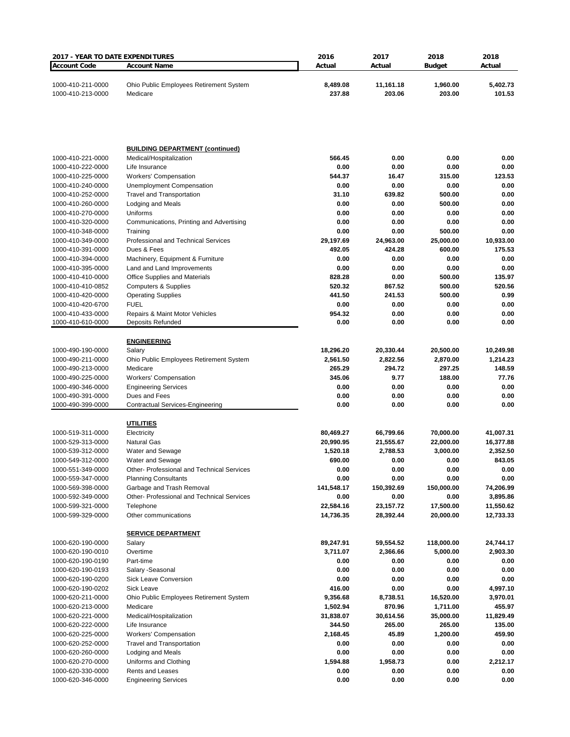| 2017 - YEAR TO DATE EXPENDITURES       |                                                                      | 2016                   | 2017                     | 2018                   | 2018                  |
|----------------------------------------|----------------------------------------------------------------------|------------------------|--------------------------|------------------------|-----------------------|
| <b>Account Code</b>                    | <b>Account Name</b>                                                  | Actual                 | Actual                   | <b>Budget</b>          | Actual                |
| 1000-410-211-0000<br>1000-410-213-0000 | Ohio Public Employees Retirement System<br>Medicare                  | 8,489.08<br>237.88     | 11,161.18<br>203.06      | 1,960.00<br>203.00     | 5,402.73<br>101.53    |
|                                        |                                                                      |                        |                          |                        |                       |
|                                        | <b>BUILDING DEPARTMENT (continued)</b>                               |                        |                          |                        |                       |
| 1000-410-221-0000                      | Medical/Hospitalization                                              | 566.45                 | 0.00                     | 0.00                   | 0.00                  |
| 1000-410-222-0000                      | Life Insurance                                                       | 0.00                   | 0.00                     | 0.00                   | 0.00                  |
| 1000-410-225-0000<br>1000-410-240-0000 | <b>Workers' Compensation</b>                                         | 544.37<br>0.00         | 16.47<br>0.00            | 315.00<br>0.00         | 123.53<br>0.00        |
| 1000-410-252-0000                      | <b>Unemployment Compensation</b><br><b>Travel and Transportation</b> | 31.10                  | 639.82                   | 500.00                 | 0.00                  |
| 1000-410-260-0000                      | Lodging and Meals                                                    | 0.00                   | 0.00                     | 500.00                 | 0.00                  |
| 1000-410-270-0000                      | Uniforms                                                             | 0.00                   | 0.00                     | 0.00                   | 0.00                  |
| 1000-410-320-0000                      | Communications, Printing and Advertising                             | 0.00                   | 0.00                     | 0.00                   | 0.00                  |
| 1000-410-348-0000                      | Training                                                             | 0.00                   | 0.00                     | 500.00                 | 0.00                  |
| 1000-410-349-0000                      | Professional and Technical Services                                  | 29,197.69              | 24,963.00                | 25,000.00              | 10,933.00             |
| 1000-410-391-0000                      | Dues & Fees                                                          | 492.05                 | 424.28                   | 600.00                 | 175.53                |
| 1000-410-394-0000                      | Machinery, Equipment & Furniture                                     | 0.00                   | 0.00                     | 0.00                   | 0.00                  |
| 1000-410-395-0000                      | Land and Land Improvements                                           | 0.00                   | 0.00                     | 0.00                   | 0.00                  |
| 1000-410-410-0000<br>1000-410-410-0852 | Office Supplies and Materials<br><b>Computers &amp; Supplies</b>     | 828.28<br>520.32       | 0.00<br>867.52           | 500.00<br>500.00       | 135.97<br>520.56      |
| 1000-410-420-0000                      | <b>Operating Supplies</b>                                            | 441.50                 | 241.53                   | 500.00                 | 0.99                  |
| 1000-410-420-6700                      | <b>FUEL</b>                                                          | 0.00                   | 0.00                     | 0.00                   | 0.00                  |
| 1000-410-433-0000                      | Repairs & Maint Motor Vehicles                                       | 954.32                 | 0.00                     | 0.00                   | 0.00                  |
| 1000-410-610-0000                      | Deposits Refunded                                                    | 0.00                   | 0.00                     | 0.00                   | 0.00                  |
|                                        |                                                                      |                        |                          |                        |                       |
|                                        | <b>ENGINEERING</b>                                                   |                        |                          |                        |                       |
| 1000-490-190-0000                      | Salary                                                               | 18,296.20<br>2,561.50  | 20,330.44<br>2,822.56    | 20,500.00              | 10,249.98<br>1,214.23 |
| 1000-490-211-0000<br>1000-490-213-0000 | Ohio Public Employees Retirement System<br>Medicare                  | 265.29                 | 294.72                   | 2,870.00<br>297.25     | 148.59                |
| 1000-490-225-0000                      | <b>Workers' Compensation</b>                                         | 345.06                 | 9.77                     | 188.00                 | 77.76                 |
| 1000-490-346-0000                      | <b>Engineering Services</b>                                          | 0.00                   | 0.00                     | 0.00                   | 0.00                  |
| 1000-490-391-0000                      | Dues and Fees                                                        | 0.00                   | 0.00                     | 0.00                   | 0.00                  |
| 1000-490-399-0000                      | Contractual Services-Engineering                                     | 0.00                   | 0.00                     | 0.00                   | 0.00                  |
|                                        | <u>UTILITIES</u>                                                     |                        |                          |                        |                       |
| 1000-519-311-0000                      | Electricity                                                          | 80,469.27              | 66,799.66                | 70,000.00              | 41,007.31             |
| 1000-529-313-0000                      | <b>Natural Gas</b>                                                   | 20,990.95              | 21,555.67                | 22,000.00              | 16,377.88             |
| 1000-539-312-0000                      | Water and Sewage                                                     | 1,520.18               | 2,788.53                 | 3,000.00               | 2,352.50              |
| 1000-549-312-0000                      | Water and Sewage                                                     | 690.00                 | 0.00                     | 0.00                   | 843.05                |
| 1000-551-349-0000                      | Other-Professional and Technical Services                            | 0.00                   | 0.00                     | 0.00                   | 0.00                  |
| 1000-559-347-0000                      | <b>Planning Consultants</b>                                          | 0.00                   | 0.00                     | 0.00                   | 0.00                  |
| 1000-569-398-0000                      | Garbage and Trash Removal                                            | 141,548.17             | 150,392.69               | 150,000.00             | 74,206.99             |
| 1000-592-349-0000                      | Other- Professional and Technical Services                           | 0.00                   | 0.00                     | 0.00                   | 3,895.86              |
| 1000-599-321-0000<br>1000-599-329-0000 | Telephone<br>Other communications                                    | 22,584.16<br>14,736.35 | 23, 157. 72<br>28,392.44 | 17,500.00<br>20,000.00 | 11,550.62             |
|                                        |                                                                      |                        |                          |                        | 12,733.33             |
|                                        | <b>SERVICE DEPARTMENT</b>                                            |                        |                          |                        |                       |
| 1000-620-190-0000                      | Salary                                                               | 89,247.91              | 59,554.52                | 118,000.00             | 24,744.17             |
| 1000-620-190-0010                      | Overtime                                                             | 3,711.07               | 2,366.66                 | 5,000.00               | 2,903.30              |
| 1000-620-190-0190<br>1000-620-190-0193 | Part-time<br>Salary - Seasonal                                       | 0.00<br>0.00           | 0.00<br>0.00             | 0.00<br>0.00           | 0.00<br>0.00          |
| 1000-620-190-0200                      | Sick Leave Conversion                                                | 0.00                   | 0.00                     | 0.00                   | 0.00                  |
| 1000-620-190-0202                      | Sick Leave                                                           | 416.00                 | 0.00                     | 0.00                   | 4,997.10              |
| 1000-620-211-0000                      | Ohio Public Employees Retirement System                              | 9,356.68               | 8,738.51                 | 16,520.00              | 3,970.01              |
| 1000-620-213-0000                      | Medicare                                                             | 1,502.94               | 870.96                   | 1,711.00               | 455.97                |
| 1000-620-221-0000                      | Medical/Hospitalization                                              | 31,838.07              | 30,614.56                | 35,000.00              | 11,829.49             |
| 1000-620-222-0000                      | Life Insurance                                                       | 344.50                 | 265.00                   | 265.00                 | 135.00                |
| 1000-620-225-0000                      | <b>Workers' Compensation</b>                                         | 2,168.45               | 45.89                    | 1,200.00               | 459.90                |
| 1000-620-252-0000                      | <b>Travel and Transportation</b>                                     | 0.00                   | 0.00                     | 0.00                   | 0.00                  |
| 1000-620-260-0000                      | Lodging and Meals                                                    | 0.00                   | 0.00                     | 0.00                   | 0.00                  |
| 1000-620-270-0000                      | Uniforms and Clothing                                                | 1,594.88               | 1,958.73                 | 0.00                   | 2,212.17              |
| 1000-620-330-0000                      | <b>Rents and Leases</b>                                              | 0.00<br>0.00           | 0.00<br>0.00             | 0.00<br>0.00           | 0.00<br>0.00          |
| 1000-620-346-0000                      | <b>Engineering Services</b>                                          |                        |                          |                        |                       |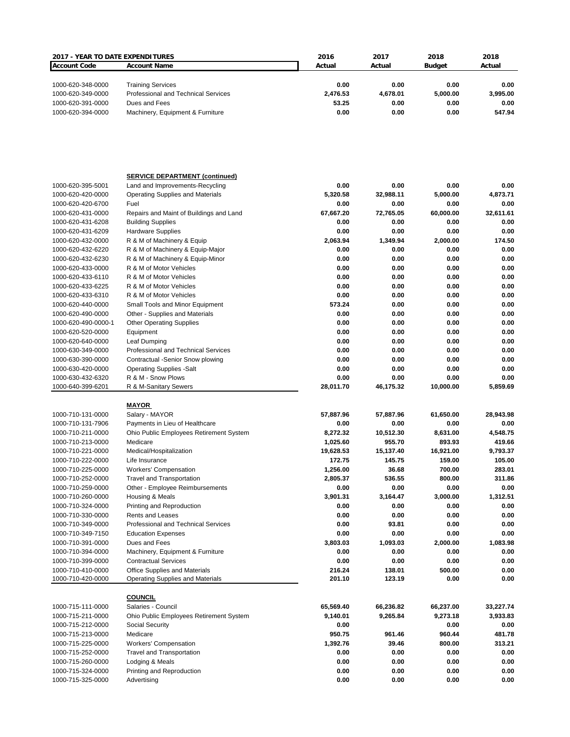| 2017 - YEAR TO DATE EXPENDITURES |                                            | 2016      | 2017      | 2018          | 2018      |
|----------------------------------|--------------------------------------------|-----------|-----------|---------------|-----------|
| <b>Account Code</b>              | <b>Account Name</b>                        | Actual    | Actual    | <b>Budget</b> | Actual    |
|                                  |                                            |           |           |               |           |
|                                  |                                            |           |           |               |           |
| 1000-620-348-0000                | <b>Training Services</b>                   | 0.00      | 0.00      | 0.00          | 0.00      |
| 1000-620-349-0000                | <b>Professional and Technical Services</b> | 2,476.53  | 4,678.01  | 5,000.00      | 3,995.00  |
| 1000-620-391-0000                | Dues and Fees                              | 53.25     | 0.00      | 0.00          | 0.00      |
| 1000-620-394-0000                | Machinery, Equipment & Furniture           | 0.00      | 0.00      | 0.00          | 547.94    |
|                                  |                                            |           |           |               |           |
|                                  |                                            |           |           |               |           |
|                                  |                                            |           |           |               |           |
|                                  |                                            |           |           |               |           |
|                                  |                                            |           |           |               |           |
|                                  |                                            |           |           |               |           |
|                                  |                                            |           |           |               |           |
|                                  | <b>SERVICE DEPARTMENT (continued)</b>      |           |           |               |           |
| 1000-620-395-5001                | Land and Improvements-Recycling            | 0.00      | 0.00      | 0.00          | 0.00      |
| 1000-620-420-0000                | <b>Operating Supplies and Materials</b>    | 5,320.58  | 32,988.11 | 5,000.00      | 4,873.71  |
| 1000-620-420-6700                | Fuel                                       | 0.00      | 0.00      | 0.00          | 0.00      |
| 1000-620-431-0000                | Repairs and Maint of Buildings and Land    | 67,667.20 | 72,765.05 | 60,000.00     | 32,611.61 |
| 1000-620-431-6208                | <b>Building Supplies</b>                   | 0.00      | 0.00      | 0.00          | 0.00      |
| 1000-620-431-6209                | <b>Hardware Supplies</b>                   | 0.00      | 0.00      | 0.00          | 0.00      |
| 1000-620-432-0000                | R & M of Machinery & Equip                 | 2,063.94  | 1,349.94  | 2,000.00      | 174.50    |
| 1000-620-432-6220                | R & M of Machinery & Equip-Major           | 0.00      | 0.00      | 0.00          | 0.00      |
| 1000-620-432-6230                | R & M of Machinery & Equip-Minor           | 0.00      | 0.00      | 0.00          | 0.00      |
|                                  |                                            |           |           |               |           |
| 1000-620-433-0000                | R & M of Motor Vehicles                    | 0.00      | 0.00      | 0.00          | 0.00      |
| 1000-620-433-6110                | R & M of Motor Vehicles                    | 0.00      | 0.00      | 0.00          | 0.00      |
| 1000-620-433-6225                | R & M of Motor Vehicles                    | 0.00      | 0.00      | 0.00          | 0.00      |
| 1000-620-433-6310                | R & M of Motor Vehicles                    | 0.00      | 0.00      | 0.00          | 0.00      |
| 1000-620-440-0000                | Small Tools and Minor Equipment            | 573.24    | 0.00      | 0.00          | 0.00      |
| 1000-620-490-0000                | Other - Supplies and Materials             | 0.00      | 0.00      | 0.00          | 0.00      |
| 1000-620-490-0000-1              | <b>Other Operating Supplies</b>            | 0.00      | 0.00      | 0.00          | 0.00      |
| 1000-620-520-0000                | Equipment                                  | 0.00      | 0.00      | 0.00          | 0.00      |
| 1000-620-640-0000                | Leaf Dumping                               | 0.00      | 0.00      | 0.00          | 0.00      |
|                                  |                                            | 0.00      | 0.00      | 0.00          | 0.00      |
| 1000-630-349-0000                | Professional and Technical Services        |           |           |               |           |
| 1000-630-390-0000                | Contractual -Senior Snow plowing           | 0.00      | 0.00      | 0.00          | 0.00      |
| 1000-630-420-0000                | <b>Operating Supplies -Salt</b>            | 0.00      | 0.00      | 0.00          | 0.00      |
| 1000-630-432-6320                | R & M - Snow Plows                         | 0.00      | 0.00      | 0.00          | 0.00      |
| 1000-640-399-6201                | R & M-Sanitary Sewers                      | 28,011.70 | 46,175.32 | 10,000.00     | 5,859.69  |
|                                  |                                            |           |           |               |           |
|                                  | <u>MAYOR</u>                               |           |           |               |           |
| 1000-710-131-0000                | Salary - MAYOR                             | 57,887.96 | 57,887.96 | 61,650.00     | 28,943.98 |
| 1000-710-131-7906                | Payments in Lieu of Healthcare             | 0.00      | 0.00      | 0.00          | 0.00      |
| 1000-710-211-0000                | Ohio Public Employees Retirement System    | 8,272.32  | 10,512.30 | 8,631.00      | 4,548.75  |
| 1000-710-213-0000                | Medicare                                   | 1,025.60  | 955.70    | 893.93        | 419.66    |
| 1000-710-221-0000                | Medical/Hospitalization                    | 19,628.53 | 15,137.40 | 16,921.00     | 9,793.37  |
|                                  | Life Insurance                             | 172.75    |           | 159.00        |           |
| 1000-710-222-0000                |                                            |           | 145.75    |               | 105.00    |
| 1000-710-225-0000                | <b>Workers' Compensation</b>               | 1,256.00  | 36.68     | 700.00        | 283.01    |
| 1000-710-252-0000                | <b>Travel and Transportation</b>           | 2,805.37  | 536.55    | 800.00        | 311.86    |
| 1000-710-259-0000                | Other - Employee Reimbursements            | 0.00      | 0.00      | 0.00          | 0.00      |
| 1000-710-260-0000                | Housing & Meals                            | 3,901.31  | 3,164.47  | 3,000.00      | 1,312.51  |
| 1000-710-324-0000                | Printing and Reproduction                  | 0.00      | 0.00      | 0.00          | 0.00      |
| 1000-710-330-0000                | <b>Rents and Leases</b>                    | 0.00      | 0.00      | 0.00          | 0.00      |
| 1000-710-349-0000                | Professional and Technical Services        | 0.00      | 93.81     | 0.00          | 0.00      |
| 1000-710-349-7150                | <b>Education Expenses</b>                  | 0.00      | 0.00      | 0.00          | 0.00      |
| 1000-710-391-0000                | Dues and Fees                              | 3,803.03  | 1,093.03  | 2,000.00      | 1,083.98  |
|                                  |                                            |           |           |               |           |
| 1000-710-394-0000                | Machinery, Equipment & Furniture           | 0.00      | 0.00      | 0.00          | 0.00      |
| 1000-710-399-0000                | <b>Contractual Services</b>                | 0.00      | 0.00      | 0.00          | 0.00      |
| 1000-710-410-0000                | Office Supplies and Materials              | 216.24    | 138.01    | 500.00        | 0.00      |
| 1000-710-420-0000                | Operating Supplies and Materials           | 201.10    | 123.19    | 0.00          | 0.00      |
|                                  |                                            |           |           |               |           |
|                                  | <b>COUNCIL</b>                             |           |           |               |           |
| 1000-715-111-0000                | Salaries - Council                         | 65,569.40 | 66,236.82 | 66,237.00     | 33,227.74 |
| 1000-715-211-0000                | Ohio Public Employees Retirement System    | 9,140.01  | 9,265.84  | 9,273.18      | 3,933.83  |
| 1000-715-212-0000                | Social Security                            | 0.00      |           | 0.00          | 0.00      |
| 1000-715-213-0000                | Medicare                                   | 950.75    | 961.46    | 960.44        | 481.78    |
| 1000-715-225-0000                | <b>Workers' Compensation</b>               | 1,392.76  | 39.46     | 800.00        | 313.21    |
|                                  |                                            |           |           |               |           |
| 1000-715-252-0000                | <b>Travel and Transportation</b>           | 0.00      | 0.00      | 0.00          | 0.00      |
| 1000-715-260-0000                | Lodging & Meals                            | 0.00      | 0.00      | 0.00          | 0.00      |
| 1000-715-324-0000                | Printing and Reproduction                  | 0.00      | 0.00      | 0.00          | 0.00      |
| 1000-715-325-0000                | Advertising                                | 0.00      | 0.00      | 0.00          | 0.00      |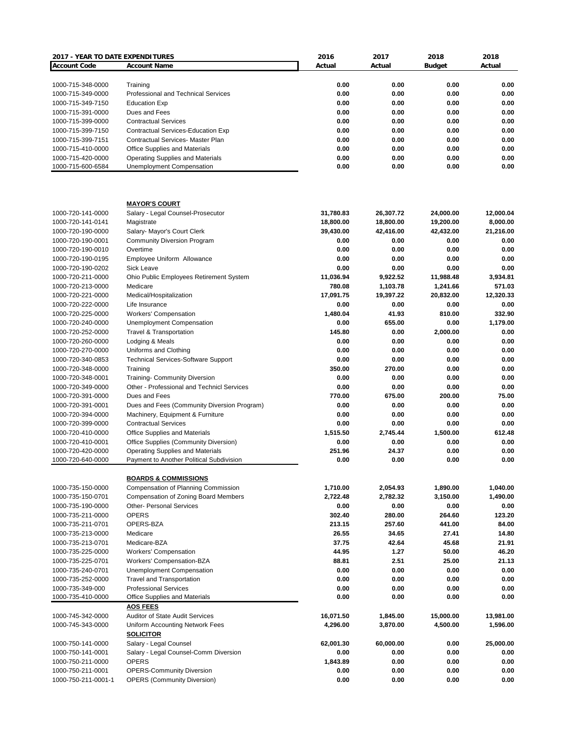| 2017 - YEAR TO DATE EXPENDITURES |                                             | 2016      | 2017      | 2018          | 2018      |
|----------------------------------|---------------------------------------------|-----------|-----------|---------------|-----------|
| <b>Account Code</b>              | <b>Account Name</b>                         | Actual    | Actual    | <b>Budget</b> | Actual    |
|                                  |                                             |           |           |               |           |
| 1000-715-348-0000                | Training                                    | 0.00      | 0.00      | 0.00          | 0.00      |
| 1000-715-349-0000                | Professional and Technical Services         | 0.00      | 0.00      | 0.00          | 0.00      |
| 1000-715-349-7150                | <b>Education Exp</b>                        | 0.00      | 0.00      | 0.00          | 0.00      |
| 1000-715-391-0000                | Dues and Fees                               | 0.00      | 0.00      | 0.00          | 0.00      |
| 1000-715-399-0000                | <b>Contractual Services</b>                 | 0.00      | 0.00      | 0.00          | 0.00      |
| 1000-715-399-7150                | Contractual Services-Education Exp          | 0.00      | 0.00      | 0.00          | 0.00      |
| 1000-715-399-7151                | <b>Contractual Services- Master Plan</b>    | 0.00      | 0.00      | 0.00          | 0.00      |
| 1000-715-410-0000                | <b>Office Supplies and Materials</b>        | 0.00      | 0.00      | 0.00          | 0.00      |
| 1000-715-420-0000                | <b>Operating Supplies and Materials</b>     | 0.00      | 0.00      | 0.00          | 0.00      |
| 1000-715-600-6584                | Unemployment Compensation                   | 0.00      | 0.00      | 0.00          | 0.00      |
|                                  |                                             |           |           |               |           |
|                                  | <b>MAYOR'S COURT</b>                        |           |           |               |           |
| 1000-720-141-0000                | Salary - Legal Counsel-Prosecutor           | 31,780.83 | 26,307.72 | 24,000.00     | 12,000.04 |
| 1000-720-141-0141                | Magistrate                                  | 18,800.00 | 18,800.00 | 19,200.00     | 8,000.00  |
| 1000-720-190-0000                | Salary- Mayor's Court Clerk                 | 39,430.00 | 42,416.00 | 42,432.00     | 21,216.00 |
| 1000-720-190-0001                | <b>Community Diversion Program</b>          | 0.00      | 0.00      | 0.00          | 0.00      |
| 1000-720-190-0010                | Overtime                                    | 0.00      | 0.00      | 0.00          | 0.00      |
| 1000-720-190-0195                | Employee Uniform Allowance                  | 0.00      | 0.00      | 0.00          | 0.00      |
| 1000-720-190-0202                | <b>Sick Leave</b>                           | 0.00      | 0.00      | 0.00          | 0.00      |
| 1000-720-211-0000                | Ohio Public Employees Retirement System     | 11,036.94 | 9,922.52  | 11,988.48     | 3,934.81  |
| 1000-720-213-0000                | Medicare                                    | 780.08    | 1,103.78  | 1,241.66      | 571.03    |
| 1000-720-221-0000                | Medical/Hospitalization                     | 17,091.75 | 19,397.22 | 20,832.00     | 12,320.33 |
| 1000-720-222-0000                | Life Insurance                              | 0.00      | 0.00      | 0.00          | 0.00      |
| 1000-720-225-0000                | <b>Workers' Compensation</b>                | 1,480.04  | 41.93     | 810.00        | 332.90    |
|                                  |                                             | 0.00      | 655.00    | 0.00          |           |
| 1000-720-240-0000                | Unemployment Compensation                   |           |           |               | 1,179.00  |
| 1000-720-252-0000                | <b>Travel &amp; Transportation</b>          | 145.80    | 0.00      | 2,000.00      | 0.00      |
| 1000-720-260-0000                | Lodging & Meals                             | 0.00      | 0.00      | 0.00          | 0.00      |
| 1000-720-270-0000                | Uniforms and Clothing                       | 0.00      | 0.00      | 0.00          | 0.00      |
| 1000-720-340-0853                | <b>Technical Services-Software Support</b>  | 0.00      | 0.00      | 0.00          | 0.00      |
| 1000-720-348-0000                | Training                                    | 350.00    | 270.00    | 0.00          | 0.00      |
| 1000-720-348-0001                | <b>Training- Community Diversion</b>        | 0.00      | 0.00      | 0.00          | 0.00      |
| 1000-720-349-0000                | Other - Professional and Technicl Services  | 0.00      | 0.00      | 0.00          | 0.00      |
| 1000-720-391-0000                | Dues and Fees                               | 770.00    | 675.00    | 200.00        | 75.00     |
| 1000-720-391-0001                | Dues and Fees (Community Diversion Program) | 0.00      | 0.00      | 0.00          | 0.00      |
| 1000-720-394-0000                | Machinery, Equipment & Furniture            | 0.00      | 0.00      | 0.00          | 0.00      |
| 1000-720-399-0000                | <b>Contractual Services</b>                 | 0.00      | 0.00      | 0.00          | 0.00      |
| 1000-720-410-0000                | Office Supplies and Materials               | 1.515.50  | 2,745.44  | 1,500.00      | 612.48    |
| 1000-720-410-0001                | Office Supplies (Community Diversion)       | 0.00      | 0.00      | 0.00          | 0.00      |
| 1000-720-420-0000                | <b>Operating Supplies and Materials</b>     | 251.96    | 24.37     | 0.00          | 0.00      |
| 1000-720-640-0000                | Payment to Another Political Subdivision    | 0.00      | 0.00      | 0.00          | 0.00      |
|                                  |                                             |           |           |               |           |
|                                  | <b>BOARDS &amp; COMMISSIONS</b>             |           |           | 1,890.00      |           |
| 1000-735-150-0000                | Compensation of Planning Commission         | 1,710.00  | 2,054.93  |               | 1,040.00  |
| 1000-735-150-0701                | <b>Compensation of Zoning Board Members</b> | 2,722.48  | 2,782.32  | 3,150.00      | 1,490.00  |
| 1000-735-190-0000                | <b>Other- Personal Services</b>             | 0.00      | 0.00      | 0.00          | 0.00      |
| 1000-735-211-0000                | <b>OPERS</b>                                | 302.40    | 280.00    | 264.60        | 123.20    |
| 1000-735-211-0701                | OPERS-BZA                                   | 213.15    | 257.60    | 441.00        | 84.00     |
| 1000-735-213-0000                | Medicare                                    | 26.55     | 34.65     | 27.41         | 14.80     |
| 1000-735-213-0701                | Medicare-BZA                                | 37.75     | 42.64     | 45.68         | 21.91     |
| 1000-735-225-0000                | <b>Workers' Compensation</b>                | 44.95     | 1.27      | 50.00         | 46.20     |
| 1000-735-225-0701                | Workers' Compensation-BZA                   | 88.81     | 2.51      | 25.00         | 21.13     |
| 1000-735-240-0701                | <b>Unemployment Compensation</b>            | 0.00      | 0.00      | 0.00          | 0.00      |
| 1000-735-252-0000                | <b>Travel and Transportation</b>            | 0.00      | 0.00      | 0.00          | 0.00      |
| 1000-735-349-000                 | <b>Professional Services</b>                | 0.00      | 0.00      | 0.00          | 0.00      |
| 1000-735-410-0000                | Office Supplies and Materials               | 0.00      | 0.00      | 0.00          | 0.00      |
|                                  | <b>AOS FEES</b>                             |           |           |               |           |
| 1000-745-342-0000                | <b>Auditor of State Audit Services</b>      | 16,071.50 | 1,845.00  | 15,000.00     | 13,981.00 |
| 1000-745-343-0000                | Uniform Accounting Network Fees             | 4,296.00  | 3,870.00  | 4,500.00      | 1,596.00  |
|                                  |                                             |           |           |               |           |
|                                  | <b>SOLICITOR</b>                            |           |           |               |           |
| 1000-750-141-0000                | Salary - Legal Counsel                      | 62,001.30 | 60,000.00 | 0.00          | 25,000.00 |
| 1000-750-141-0001                | Salary - Legal Counsel-Comm Diversion       | 0.00      | 0.00      | 0.00          | 0.00      |
| 1000-750-211-0000                | <b>OPERS</b>                                | 1,843.89  | 0.00      | 0.00          | 0.00      |
| 1000-750-211-0001                | <b>OPERS-Community Diversion</b>            | 0.00      | 0.00      | 0.00          | 0.00      |
| 1000-750-211-0001-1              | <b>OPERS (Community Diversion)</b>          | 0.00      | 0.00      | 0.00          | 0.00      |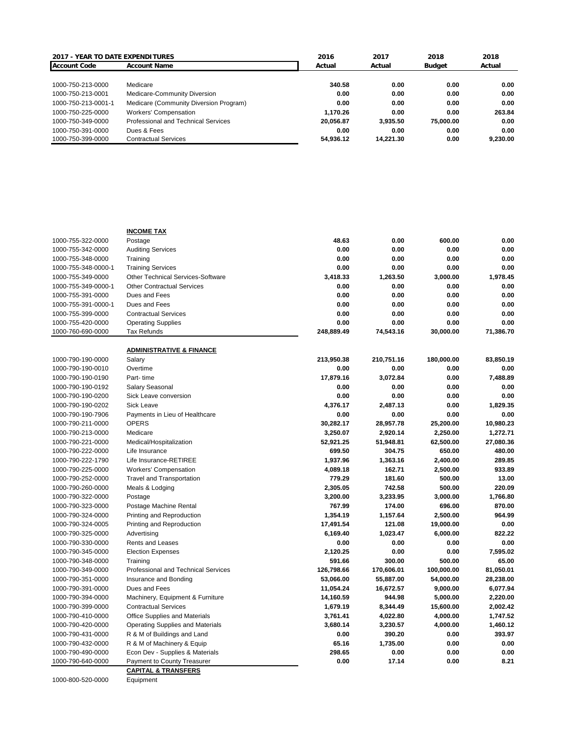| <b>2017 - YEAR TO DATE EXPENDITURES</b> |                                        | 2016      | 2017      | 2018      | 2018     |
|-----------------------------------------|----------------------------------------|-----------|-----------|-----------|----------|
| <b>Account Code</b>                     | <b>Account Name</b>                    | Actual    | Actual    | Budget    | Actual   |
|                                         |                                        |           |           |           |          |
| 1000-750-213-0000                       | Medicare                               | 340.58    | 0.00      | 0.00      | 0.00     |
| 1000-750-213-0001                       | Medicare-Community Diversion           | 0.00      | 0.00      | 0.00      | 0.00     |
| 1000-750-213-0001-1                     | Medicare (Community Diversion Program) | 0.00      | 0.00      | 0.00      | 0.00     |
| 1000-750-225-0000                       | <b>Workers' Compensation</b>           | 1.170.26  | 0.00      | 0.00      | 263.84   |
| 1000-750-349-0000                       | Professional and Technical Services    | 20.056.87 | 3.935.50  | 75,000,00 | 0.00     |
| 1000-750-391-0000                       | Dues & Fees                            | 0.00      | 0.00      | 0.00      | 0.00     |
| 1000-750-399-0000                       | <b>Contractual Services</b>            | 54.936.12 | 14.221.30 | 0.00      | 9.230.00 |

|                     | <b>INCOME TAX</b>                         |            |                     |            |                 |
|---------------------|-------------------------------------------|------------|---------------------|------------|-----------------|
| 1000-755-322-0000   | Postage                                   | 48.63      | 0.00                | 600.00     | 0.00            |
| 1000-755-342-0000   | <b>Auditing Services</b>                  | 0.00       | 0.00                | 0.00       | 0.00            |
| 1000-755-348-0000   | Training                                  | 0.00       | 0.00                | 0.00       | 0.00            |
| 1000-755-348-0000-1 | <b>Training Services</b>                  | 0.00       | 0.00                | 0.00       | 0.00            |
| 1000-755-349-0000   | Other Technical Services-Software         | 3,418.33   | 1,263.50            | 3,000.00   | 1,978.45        |
| 1000-755-349-0000-1 | <b>Other Contractual Services</b>         | 0.00       | 0.00                | 0.00       | 0.00            |
| 1000-755-391-0000   | Dues and Fees                             | 0.00       | 0.00                | 0.00       | 0.00            |
| 1000-755-391-0000-1 | Dues and Fees                             | 0.00       | 0.00                | 0.00       | 0.00            |
| 1000-755-399-0000   | <b>Contractual Services</b>               | 0.00       | 0.00                | 0.00       | 0.00            |
| 1000-755-420-0000   | <b>Operating Supplies</b>                 | 0.00       | 0.00                | 0.00       | 0.00            |
| 1000-760-690-0000   | Tax Refunds                               | 248,889.49 | 74,543.16           | 30,000.00  | 71,386.70       |
|                     | <b>ADMINISTRATIVE &amp; FINANCE</b>       |            |                     |            |                 |
| 1000-790-190-0000   | Salary                                    | 213,950.38 | 210,751.16          | 180,000.00 | 83,850.19       |
| 1000-790-190-0010   | Overtime                                  | 0.00       | 0.00                | 0.00       | 0.00            |
| 1000-790-190-0190   | Part-time                                 | 17,879.16  | 3,072.84            | 0.00       | 7,488.89        |
| 1000-790-190-0192   | Salary Seasonal                           | 0.00       | 0.00                | 0.00       | 0.00            |
| 1000-790-190-0200   | Sick Leave conversion                     | 0.00       | 0.00                | 0.00       | 0.00            |
| 1000-790-190-0202   | <b>Sick Leave</b>                         | 4,376.17   | 2,487.13            | 0.00       | 1,829.35        |
| 1000-790-190-7906   | Payments in Lieu of Healthcare            | 0.00       | 0.00                | 0.00       | 0.00            |
| 1000-790-211-0000   | <b>OPERS</b>                              | 30,282.17  | 28,957.78           | 25,200.00  | 10,980.23       |
| 1000-790-213-0000   | Medicare                                  | 3,250.07   | 2,920.14            | 2,250.00   | 1,272.71        |
| 1000-790-221-0000   |                                           | 52,921.25  |                     | 62,500.00  | 27,080.36       |
| 1000-790-222-0000   | Medical/Hospitalization<br>Life Insurance | 699.50     | 51,948.81<br>304.75 | 650.00     | 480.00          |
| 1000-790-222-1790   |                                           | 1,937.96   |                     |            | 289.85          |
| 1000-790-225-0000   | Life Insurance-RETIREE                    |            | 1,363.16<br>162.71  | 2,400.00   | 933.89          |
|                     | <b>Workers' Compensation</b>              | 4,089.18   |                     | 2,500.00   |                 |
| 1000-790-252-0000   | <b>Travel and Transportation</b>          | 779.29     | 181.60              | 500.00     | 13.00<br>220.09 |
| 1000-790-260-0000   | Meals & Lodging                           | 2,305.05   | 742.58              | 500.00     |                 |
| 1000-790-322-0000   | Postage                                   | 3,200.00   | 3,233.95            | 3,000.00   | 1.766.80        |
| 1000-790-323-0000   | Postage Machine Rental                    | 767.99     | 174.00              | 696.00     | 870.00          |
| 1000-790-324-0000   | Printing and Reproduction                 | 1,354.19   | 1,157.64            | 2,500.00   | 964.99          |
| 1000-790-324-0005   | Printing and Reproduction                 | 17,491.54  | 121.08              | 19,000.00  | 0.00            |
| 1000-790-325-0000   | Advertising                               | 6,169.40   | 1,023.47            | 6,000.00   | 822.22          |
| 1000-790-330-0000   | Rents and Leases                          | 0.00       | 0.00                | 0.00       | 0.00            |
| 1000-790-345-0000   | <b>Election Expenses</b>                  | 2,120.25   | 0.00                | 0.00       | 7,595.02        |
| 1000-790-348-0000   | Training                                  | 591.66     | 300.00              | 500.00     | 65.00           |
| 1000-790-349-0000   | Professional and Technical Services       | 126,798.66 | 170,606.01          | 100,000.00 | 81,050.01       |
| 1000-790-351-0000   | Insurance and Bonding                     | 53,066.00  | 55,887.00           | 54,000.00  | 28,238.00       |
| 1000-790-391-0000   | Dues and Fees                             | 11,054.24  | 16,672.57           | 9,000.00   | 6,077.94        |
| 1000-790-394-0000   | Machinery, Equipment & Furniture          | 14,160.59  | 944.98              | 5,000.00   | 2,220.00        |
| 1000-790-399-0000   | <b>Contractual Services</b>               | 1,679.19   | 8,344.49            | 15,600.00  | 2,002.42        |
| 1000-790-410-0000   | Office Supplies and Materials             | 3,761.41   | 4,022.80            | 4,000.00   | 1,747.52        |
| 1000-790-420-0000   | <b>Operating Supplies and Materials</b>   | 3,680.14   | 3,230.57            | 4,000.00   | 1,460.12        |
| 1000-790-431-0000   | R & M of Buildings and Land               | 0.00       | 390.20              | 0.00       | 393.97          |
| 1000-790-432-0000   | R & M of Machinery & Equip                | 65.16      | 1,735.00            | 0.00       | 0.00            |
| 1000-790-490-0000   | Econ Dev - Supplies & Materials           | 298.65     | 0.00                | 0.00       | 0.00            |
| 1000-790-640-0000   | Payment to County Treasurer               | 0.00       | 17.14               | 0.00       | 8.21            |
|                     | <b>CAPITAL &amp; TRANSFERS</b>            |            |                     |            |                 |

1000-800-520-0000 Equipment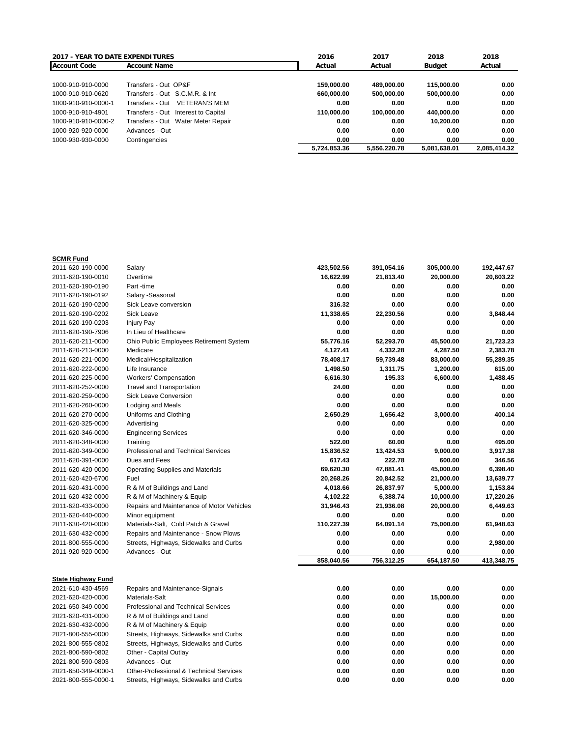| <b>2017 - YEAR TO DATE EXPENDITURES</b> |                                         | 2016         | 2017         | 2018         | 2018         |
|-----------------------------------------|-----------------------------------------|--------------|--------------|--------------|--------------|
| <b>Account Code</b>                     | <b>Account Name</b>                     | Actual       | Actual       | Budget       | Actual       |
|                                         |                                         |              |              |              |              |
| 1000-910-910-0000                       | Transfers - Out OP&F                    | 159.000.00   | 489.000.00   | 115,000,00   | 0.00         |
| 1000-910-910-0620                       | Transfers - Out S.C.M.R. & Int          | 660.000.00   | 500.000.00   | 500.000.00   | 0.00         |
| 1000-910-910-0000-1                     | <b>VETERAN'S MEM</b><br>Transfers - Out | 0.00         | 0.00         | 0.00         | 0.00         |
| 1000-910-910-4901                       | Transfers - Out Interest to Capital     | 110.000.00   | 100.000.00   | 440,000.00   | 0.00         |
| 1000-910-910-0000-2                     | Transfers - Out Water Meter Repair      | 0.00         | 0.00         | 10.200.00    | 0.00         |
| 1000-920-920-0000                       | Advances - Out                          | 0.00         | 0.00         | 0.00         | 0.00         |
| 1000-930-930-0000                       | Contingencies                           | 0.00         | 0.00         | 0.00         | 0.00         |
|                                         |                                         | 5.724.853.36 | 5,556,220.78 | 5.081.638.01 | 2.085.414.32 |

## **SCMR Fund**

| 2011-620-190-0000         | Salary                                             | 423,502.56 | 391,054.16 | 305,000.00 | 192,447.67 |
|---------------------------|----------------------------------------------------|------------|------------|------------|------------|
| 2011-620-190-0010         | Overtime                                           | 16,622.99  | 21,813.40  | 20,000.00  | 20,603.22  |
| 2011-620-190-0190         | Part -time                                         | 0.00       | 0.00       | 0.00       | 0.00       |
| 2011-620-190-0192         | Salary - Seasonal                                  | 0.00       | 0.00       | 0.00       | 0.00       |
| 2011-620-190-0200         | Sick Leave conversion                              | 316.32     | 0.00       | 0.00       | 0.00       |
| 2011-620-190-0202         | <b>Sick Leave</b>                                  | 11,338.65  | 22,230.56  | 0.00       | 3,848.44   |
| 2011-620-190-0203         | <b>Injury Pay</b>                                  | 0.00       | 0.00       | 0.00       | 0.00       |
| 2011-620-190-7906         | In Lieu of Healthcare                              | 0.00       | 0.00       | 0.00       | 0.00       |
| 2011-620-211-0000         | Ohio Public Employees Retirement System            | 55,776.16  | 52,293.70  | 45,500.00  | 21,723.23  |
| 2011-620-213-0000         | Medicare                                           | 4,127.41   | 4,332.28   | 4,287.50   | 2,383.78   |
| 2011-620-221-0000         | Medical/Hospitalization                            | 78,408.17  | 59,739.48  | 83,000.00  | 55,289.35  |
| 2011-620-222-0000         | Life Insurance                                     | 1,498.50   | 1,311.75   | 1,200.00   | 615.00     |
| 2011-620-225-0000         | <b>Workers' Compensation</b>                       | 6,616.30   | 195.33     | 6,600.00   | 1,488.45   |
| 2011-620-252-0000         | <b>Travel and Transportation</b>                   | 24.00      | 0.00       | 0.00       | 0.00       |
| 2011-620-259-0000         | <b>Sick Leave Conversion</b>                       | 0.00       | 0.00       | 0.00       | 0.00       |
| 2011-620-260-0000         | Lodging and Meals                                  | 0.00       | 0.00       | 0.00       | 0.00       |
| 2011-620-270-0000         | Uniforms and Clothing                              | 2,650.29   | 1,656.42   | 3,000.00   | 400.14     |
| 2011-620-325-0000         | Advertising                                        | 0.00       | 0.00       | 0.00       | 0.00       |
| 2011-620-346-0000         | <b>Engineering Services</b>                        | 0.00       | 0.00       | 0.00       | 0.00       |
| 2011-620-348-0000         | Training                                           | 522.00     | 60.00      | 0.00       | 495.00     |
| 2011-620-349-0000         | Professional and Technical Services                | 15,836.52  | 13,424.53  | 9,000.00   | 3,917.38   |
| 2011-620-391-0000         | Dues and Fees                                      | 617.43     | 222.78     | 600.00     | 346.56     |
| 2011-620-420-0000         | <b>Operating Supplies and Materials</b>            | 69,620.30  | 47,881.41  | 45,000.00  | 6,398.40   |
| 2011-620-420-6700         | Fuel                                               | 20,268.26  | 20,842.52  | 21,000.00  | 13,639.77  |
| 2011-620-431-0000         | R & M of Buildings and Land                        | 4,018.66   | 26,837.97  | 5,000.00   | 1,153.84   |
| 2011-620-432-0000         | R & M of Machinery & Equip                         | 4,102.22   | 6,388.74   | 10,000.00  | 17,220.26  |
| 2011-620-433-0000         | Repairs and Maintenance of Motor Vehicles          | 31,946.43  | 21,936.08  | 20,000.00  | 6,449.63   |
| 2011-620-440-0000         | Minor equipment                                    | 0.00       | 0.00       | 0.00       | 0.00       |
| 2011-630-420-0000         | Materials-Salt, Cold Patch & Gravel                | 110,227.39 | 64,091.14  | 75,000.00  | 61,948.63  |
| 2011-630-432-0000         | Repairs and Maintenance - Snow Plows               | 0.00       | 0.00       | 0.00       | 0.00       |
| 2011-800-555-0000         | Streets, Highways, Sidewalks and Curbs             | 0.00       | 0.00       | 0.00       | 2,980.00   |
| 2011-920-920-0000         | Advances - Out                                     | 0.00       | 0.00       | 0.00       | 0.00       |
|                           |                                                    | 858,040.56 | 756,312.25 | 654,187.50 | 413,348.75 |
|                           |                                                    |            |            |            |            |
| <b>State Highway Fund</b> |                                                    |            |            |            |            |
| 2021-610-430-4569         | Repairs and Maintenance-Signals                    | 0.00       | 0.00       | 0.00       | 0.00       |
| 2021-620-420-0000         | Materials-Salt                                     | 0.00       | 0.00       | 15,000.00  | 0.00       |
| 2021-650-349-0000         | Professional and Technical Services                | 0.00       | 0.00       | 0.00       | 0.00       |
| 2021-620-431-0000         | R & M of Buildings and Land                        | 0.00       | 0.00       | 0.00       | 0.00       |
| 2021-630-432-0000         | R & M of Machinery & Equip                         | 0.00       | 0.00       | 0.00       | 0.00       |
| 2021-800-555-0000         | Streets, Highways, Sidewalks and Curbs             | 0.00       | 0.00       | 0.00       | 0.00       |
| 2021-800-555-0802         | Streets, Highways, Sidewalks and Curbs             | 0.00       | 0.00       | 0.00       | 0.00       |
| 2021-800-590-0802         | Other - Capital Outlay                             | 0.00       | 0.00       | 0.00       | 0.00       |
| 2021-800-590-0803         | Advances - Out                                     | 0.00       | 0.00       | 0.00       | 0.00       |
| 2021-650-349-0000-1       | <b>Other-Professional &amp; Technical Services</b> | 0.00       | 0.00       | 0.00       | 0.00       |
| 2021-800-555-0000-1       | Streets, Highways, Sidewalks and Curbs             | 0.00       | 0.00       | 0.00       | 0.00       |
|                           |                                                    |            |            |            |            |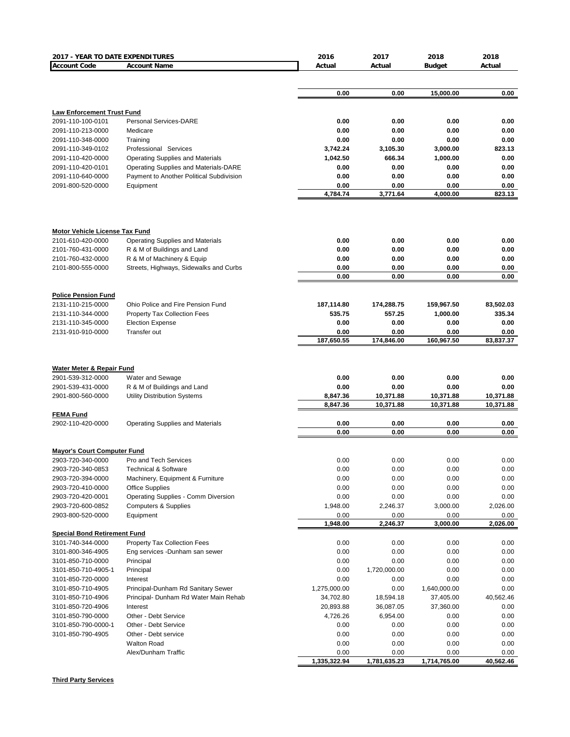| 2017 - YEAR TO DATE EXPENDITURES                        |                                                                | 2016                 | 2017                 | 2018                 | 2018                |
|---------------------------------------------------------|----------------------------------------------------------------|----------------------|----------------------|----------------------|---------------------|
| <b>Account Code</b>                                     | <b>Account Name</b>                                            | Actual               | Actual               | <b>Budget</b>        | Actual              |
|                                                         |                                                                |                      |                      |                      |                     |
|                                                         |                                                                | 0.00                 | 0.00                 | 15,000.00            | 0.00                |
|                                                         |                                                                |                      |                      |                      |                     |
| <b>Law Enforcement Trust Fund</b>                       |                                                                |                      |                      |                      |                     |
| 2091-110-100-0101                                       | Personal Services-DARE                                         | 0.00                 | 0.00                 | 0.00                 | 0.00                |
| 2091-110-213-0000                                       | Medicare                                                       | 0.00                 | 0.00                 | 0.00                 | 0.00                |
| 2091-110-348-0000                                       | Training                                                       | 0.00                 | 0.00                 | 0.00                 | 0.00                |
| 2091-110-349-0102                                       | Professional Services                                          | 3,742.24             | 3,105.30             | 3,000.00             | 823.13              |
| 2091-110-420-0000                                       | <b>Operating Supplies and Materials</b>                        | 1,042.50             | 666.34               | 1,000.00             | 0.00                |
| 2091-110-420-0101                                       | Operating Supplies and Materials-DARE                          | 0.00                 | 0.00                 | 0.00                 | 0.00                |
| 2091-110-640-0000                                       | Payment to Another Political Subdivision                       | 0.00                 | 0.00                 | 0.00                 | 0.00                |
| 2091-800-520-0000                                       | Equipment                                                      | 0.00<br>4,784.74     | 0.00<br>3,771.64     | 0.00<br>4,000.00     | 0.00<br>823.13      |
|                                                         |                                                                |                      |                      |                      |                     |
| <b>Motor Vehicle License Tax Fund</b>                   |                                                                |                      |                      |                      |                     |
| 2101-610-420-0000                                       | <b>Operating Supplies and Materials</b>                        | 0.00                 | 0.00                 | 0.00                 | 0.00                |
| 2101-760-431-0000                                       | R & M of Buildings and Land                                    | 0.00                 | 0.00                 | 0.00                 | 0.00                |
| 2101-760-432-0000                                       | R & M of Machinery & Equip                                     | 0.00                 | 0.00                 | 0.00                 | 0.00                |
| 2101-800-555-0000                                       | Streets, Highways, Sidewalks and Curbs                         | 0.00<br>0.00         | 0.00<br>0.00         | 0.00<br>0.00         | 0.00<br>0.00        |
|                                                         |                                                                |                      |                      |                      |                     |
| <b>Police Pension Fund</b>                              |                                                                |                      |                      |                      |                     |
| 2131-110-215-0000<br>2131-110-344-0000                  | Ohio Police and Fire Pension Fund                              | 187,114.80<br>535.75 | 174,288.75<br>557.25 | 159,967.50           | 83,502.03<br>335.34 |
| 2131-110-345-0000                                       | <b>Property Tax Collection Fees</b><br><b>Election Expense</b> | 0.00                 | 0.00                 | 1,000.00<br>0.00     | 0.00                |
| 2131-910-910-0000                                       | Transfer out                                                   | 0.00                 | 0.00                 | 0.00                 | 0.00                |
|                                                         |                                                                | 187,650.55           | 174,846.00           | 160,967.50           | 83,837.37           |
|                                                         |                                                                |                      |                      |                      |                     |
| Water Meter & Repair Fund                               |                                                                |                      |                      |                      |                     |
| 2901-539-312-0000                                       | Water and Sewage                                               | 0.00                 | 0.00                 | 0.00                 | 0.00                |
| 2901-539-431-0000                                       | R & M of Buildings and Land                                    | 0.00                 | 0.00                 | 0.00                 | 0.00                |
| 2901-800-560-0000                                       | Utility Distribution Systems                                   | 8,847.36             | 10,371.88            | 10,371.88            | 10,371.88           |
|                                                         |                                                                | 8,847.36             | 10,371.88            | 10,371.88            | 10,371.88           |
| <b>FEMA Fund</b>                                        |                                                                |                      |                      |                      |                     |
| 2902-110-420-0000                                       | Operating Supplies and Materials                               | 0.00<br>0.00         | 0.00<br>0.00         | 0.00<br>0.00         | 0.00<br>0.00        |
|                                                         |                                                                |                      |                      |                      |                     |
| <b>Mayor's Court Computer Fund</b><br>2903-720-340-0000 | Pro and Tech Services                                          | 0.00                 | 0.00                 | 0.00                 | 0.00                |
| 2903-720-340-0853                                       | <b>Technical &amp; Software</b>                                | 0.00                 | 0.00                 | 0.00                 | 0.00                |
| 2903-720-394-0000                                       | Machinery, Equipment & Furniture                               | 0.00                 | 0.00                 | 0.00                 | 0.00                |
| 2903-720-410-0000                                       | <b>Office Supplies</b>                                         | 0.00                 | 0.00                 | 0.00                 | 0.00                |
| 2903-720-420-0001                                       | Operating Supplies - Comm Diversion                            | 0.00                 | 0.00                 | 0.00                 | 0.00                |
| 2903-720-600-0852                                       | <b>Computers &amp; Supplies</b>                                | 1,948.00             | 2,246.37             | 3,000.00             | 2,026.00            |
| 2903-800-520-0000                                       | Equipment                                                      | 0.00                 | 0.00                 | 0.00                 | 0.00                |
|                                                         |                                                                | 1,948.00             | 2,246.37             | 3,000.00             | 2,026.00            |
| <b>Special Bond Retirement Fund</b>                     |                                                                |                      |                      |                      |                     |
| 3101-740-344-0000                                       | Property Tax Collection Fees                                   | 0.00                 | 0.00                 | 0.00                 | 0.00                |
| 3101-800-346-4905                                       | Eng services -Dunham san sewer                                 | 0.00                 | 0.00                 | 0.00                 | 0.00                |
| 3101-850-710-0000                                       | Principal                                                      | 0.00                 | 0.00                 | 0.00                 | 0.00                |
| 3101-850-710-4905-1                                     | Principal                                                      | 0.00                 | 1,720,000.00         | 0.00                 | 0.00                |
| 3101-850-720-0000<br>3101-850-710-4905                  | Interest<br>Principal-Dunham Rd Sanitary Sewer                 | 0.00<br>1,275,000.00 | 0.00<br>0.00         | 0.00<br>1,640,000.00 | 0.00<br>0.00        |
| 3101-850-710-4906                                       | Principal- Dunham Rd Water Main Rehab                          | 34,702.80            | 18,594.18            | 37,405.00            | 40,562.46           |
| 3101-850-720-4906                                       | Interest                                                       | 20,893.88            | 36,087.05            | 37,360.00            | 0.00                |
| 3101-850-790-0000                                       | Other - Debt Service                                           | 4,726.26             | 6,954.00             | 0.00                 | 0.00                |
| 3101-850-790-0000-1                                     | Other - Debt Service                                           | 0.00                 | 0.00                 | 0.00                 | 0.00                |
| 3101-850-790-4905                                       | Other - Debt service                                           | 0.00                 | 0.00                 | 0.00                 | 0.00                |
|                                                         | <b>Walton Road</b>                                             | 0.00                 | 0.00                 | 0.00                 | 0.00                |
|                                                         | Alex/Dunham Traffic                                            | 0.00                 | 0.00                 | 0.00                 | 0.00                |
|                                                         |                                                                | 1,335,322.94         | 1,781,635.23         | 1,714,765.00         | 40,562.46           |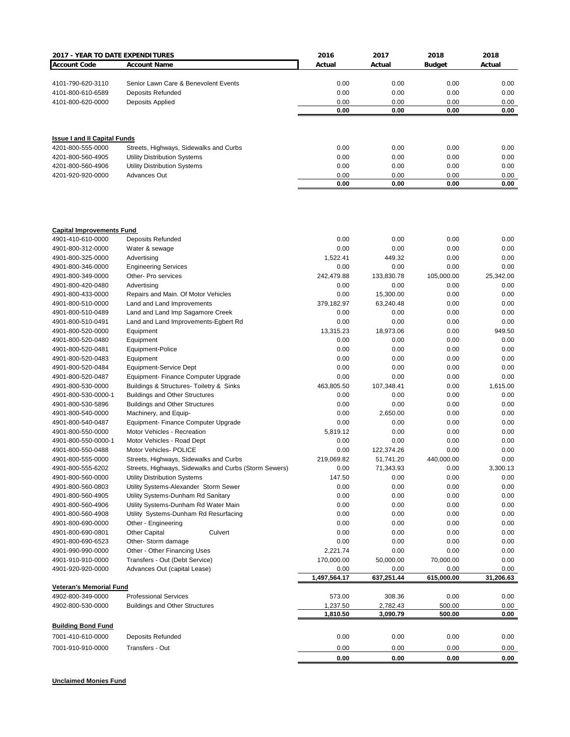| 2017 - YEAR TO DATE EXPENDITURES    |                                                       | 2016                 | 2017               | 2018               | 2018              |
|-------------------------------------|-------------------------------------------------------|----------------------|--------------------|--------------------|-------------------|
| <b>Account Code</b>                 | <b>Account Name</b>                                   | Actual               | Actual             | <b>Budget</b>      | Actual            |
|                                     |                                                       |                      |                    |                    |                   |
| 4101-790-620-3110                   | Senior Lawn Care & Benevolent Events                  | 0.00                 | 0.00               | 0.00               | 0.00              |
| 4101-800-610-6589                   | Deposits Refunded                                     | 0.00                 | 0.00               | 0.00               | 0.00              |
| 4101-800-620-0000                   | Deposits Applied                                      | 0.00                 | 0.00               | 0.00               | 0.00              |
|                                     |                                                       | 0.00                 | 0.00               | 0.00               | 0.00              |
| <b>Issue I and II Capital Funds</b> |                                                       |                      |                    |                    |                   |
| 4201-800-555-0000                   | Streets, Highways, Sidewalks and Curbs                | 0.00                 | 0.00               | 0.00               | 0.00              |
| 4201-800-560-4905                   | <b>Utility Distribution Systems</b>                   | 0.00                 | 0.00               | 0.00               | 0.00              |
| 4201-800-560-4906                   | <b>Utility Distribution Systems</b>                   | 0.00                 | 0.00               | 0.00               | 0.00              |
| 4201-920-920-0000                   | <b>Advances Out</b>                                   | 0.00                 | 0.00               | 0.00               | 0.00              |
|                                     |                                                       | 0.00                 | 0.00               | 0.00               | 0.00              |
| <b>Capital Improvements Fund</b>    |                                                       |                      |                    |                    |                   |
| 4901-410-610-0000                   | <b>Deposits Refunded</b>                              | 0.00                 | 0.00               | 0.00               | 0.00              |
| 4901-800-312-0000                   | Water & sewage                                        | 0.00                 | 0.00               | 0.00               | 0.00              |
| 4901-800-325-0000                   | Advertising                                           | 1,522.41             | 449.32             | 0.00               | 0.00              |
| 4901-800-346-0000                   | <b>Engineering Services</b>                           | 0.00                 | 0.00               | 0.00               | 0.00              |
| 4901-800-349-0000                   | Other- Pro services                                   | 242,479.88           | 133,830.78         | 105,000.00         | 25,342.00         |
| 4901-800-420-0480                   | Advertising                                           | 0.00                 | 0.00               | 0.00               | 0.00              |
| 4901-800-433-0000                   | Repairs and Main. Of Motor Vehicles                   | 0.00                 | 15,300.00          | 0.00               | 0.00              |
| 4901-800-510-0000                   | Land and Land Improvements                            | 379,182.97           | 63,240.48          | 0.00               | 0.00              |
| 4901-800-510-0489                   | Land and Land Imp Sagamore Creek                      | 0.00                 | 0.00               | 0.00               | 0.00              |
| 4901-800-510-0491                   | Land and Land Improvements-Egbert Rd                  | 0.00                 | 0.00               | 0.00               | 0.00              |
| 4901-800-520-0000                   | Equipment                                             | 13,315.23            | 18,973.06          | 0.00               | 949.50            |
| 4901-800-520-0480                   | Equipment                                             | 0.00                 | 0.00               | 0.00               | 0.00              |
| 4901-800-520-0481                   | Equipment-Police                                      | 0.00                 | 0.00               | 0.00               | 0.00              |
| 4901-800-520-0483                   | Equipment                                             | 0.00                 | 0.00               | 0.00               | 0.00              |
| 4901-800-520-0484                   | Equipment-Service Dept                                | 0.00                 | 0.00               | 0.00               | 0.00              |
| 4901-800-520-0487                   | Equipment- Finance Computer Upgrade                   | 0.00                 | 0.00               | 0.00               | 0.00              |
| 4901-800-530-0000                   | Buildings & Structures- Toiletry & Sinks              | 463,805.50           | 107,348.41         | 0.00               | 1,615.00          |
| 4901-800-530-0000-1                 | <b>Buildings and Other Structures</b>                 | 0.00                 | 0.00               | 0.00               | 0.00              |
| 4901-800-530-5896                   | <b>Buildings and Other Structures</b>                 | 0.00                 | 0.00               | 0.00               | 0.00              |
| 4901-800-540-0000                   | Machinery, and Equip-                                 | 0.00                 | 2,650.00           | 0.00               | 0.00              |
| 4901-800-540-0487                   | Equipment-Finance Computer Upgrade                    | 0.00                 | 0.00               | 0.00               | 0.00              |
| 4901-800-550-0000                   | Motor Vehicles - Recreation                           | 5,819.12             | 0.00               | 0.00               | 0.00              |
| 4901-800-550-0000-1                 | Motor Vehicles - Road Dept                            | 0.00                 | 0.00               | 0.00               | 0.00              |
| 4901-800-550-0488                   | Motor Vehicles- POLICE                                | 0.00                 | 122,374.26         | 0.00               | 0.00              |
| 4901-800-555-0000                   | Streets, Highways, Sidewalks and Curbs                | 219,069.82           | 51,741.20          | 440,000.00         | 0.00              |
| 4901-800-555-6202                   | Streets, Highways, Sidewalks and Curbs (Storm Sewers) | 0.00                 | 71,343.93          | 0.00               | 3,300.13          |
| 4901-800-560-0000                   | <b>Utility Distribution Systems</b>                   | 147.50               | 0.00               | 0.00               | 0.00              |
| 4901-800-560-0803                   | Utility Systems-Alexander Storm Sewer                 | 0.00                 | 0.00               | 0.00               | 0.00              |
| 4901-800-560-4905                   | Utility Systems-Dunham Rd Sanitary                    | 0.00                 | 0.00               | 0.00               | 0.00              |
| 4901-800-560-4906                   | Utility Systems-Dunham Rd Water Main                  | 0.00                 | 0.00               | 0.00               | 0.00              |
| 4901-800-560-4908                   | Utility Systems-Dunham Rd Resurfacing                 | 0.00                 | 0.00               | 0.00               | 0.00              |
| 4901-800-690-0000                   | Other - Engineering                                   | 0.00                 | 0.00               | 0.00               | 0.00              |
| 4901-800-690-0801                   | <b>Other Capital</b><br>Culvert                       | 0.00                 | 0.00               | 0.00               | 0.00              |
| 4901-800-690-6523                   | Other-Storm damage                                    | 0.00                 | 0.00               | 0.00               | 0.00              |
| 4901-990-990-0000                   | Other - Other Financing Uses                          | 2,221.74             | 0.00               | 0.00               | 0.00              |
| 4901-910-910-0000                   | Transfers - Out (Debt Service)                        | 170,000.00           | 50,000.00          | 70,000.00          | 0.00              |
| 4901-920-920-0000                   | Advances Out (capital Lease)                          | 0.00<br>1,497,564.17 | 0.00<br>637,251.44 | 0.00<br>615,000.00 | 0.00<br>31,206.63 |
| <b>Veteran's Memorial Fund</b>      |                                                       |                      |                    |                    |                   |
| 4902-800-349-0000                   | <b>Professional Services</b>                          | 573.00               | 308.36             | 0.00               | 0.00              |
| 4902-800-530-0000                   | <b>Buildings and Other Structures</b>                 | 1,237.50             | 2,782.43           | 500.00             | 0.00              |
|                                     |                                                       | 1,810.50             | 3,090.79           | 500.00             | 0.00              |
| <b>Building Bond Fund</b>           |                                                       |                      |                    |                    |                   |
| 7001-410-610-0000                   | Deposits Refunded                                     | 0.00                 | 0.00               | 0.00               | 0.00              |
| 7001-910-910-0000                   | Transfers - Out                                       | 0.00                 | 0.00               | 0.00               | 0.00              |
|                                     |                                                       | 0.00                 | 0.00               | 0.00               | 0.00              |

**Unclaimed Monies Fund**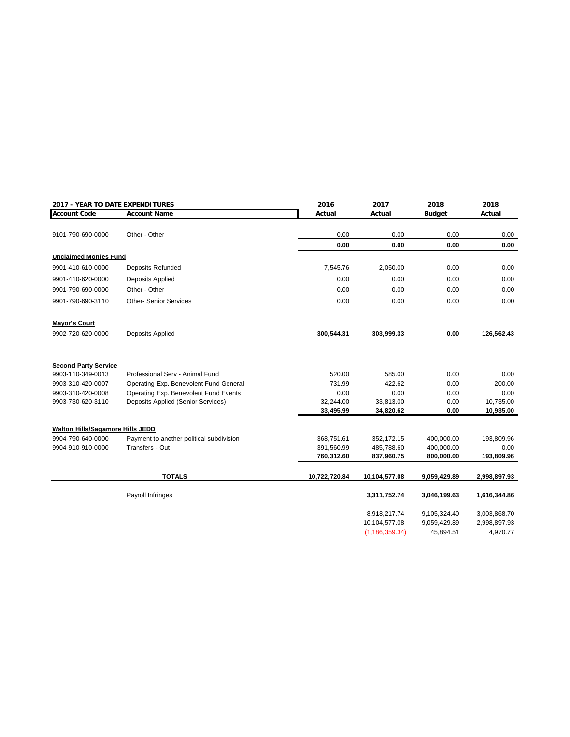|                                  | <b>2017 - YEAR TO DATE EXPENDITURES</b>   |               | 2017             | 2018          | 2018         |
|----------------------------------|-------------------------------------------|---------------|------------------|---------------|--------------|
| <b>Account Code</b>              | <b>Account Name</b>                       | Actual        | Actual           | <b>Budget</b> | Actual       |
|                                  |                                           |               |                  |               |              |
| 9101-790-690-0000                | Other - Other                             | 0.00          | 0.00             | 0.00          | 0.00         |
|                                  |                                           | 0.00          | 0.00             | 0.00          | 0.00         |
| <b>Unclaimed Monies Fund</b>     |                                           |               |                  |               |              |
| 9901-410-610-0000                | <b>Deposits Refunded</b>                  | 7,545.76      | 2,050.00         | 0.00          | 0.00         |
| 9901-410-620-0000                | Deposits Applied                          | 0.00          | 0.00             | 0.00          | 0.00         |
| 9901-790-690-0000                | Other - Other                             | 0.00          | 0.00             | 0.00          | 0.00         |
| 9901-790-690-3110                | <b>Other-Senior Services</b>              | 0.00          | 0.00             | 0.00          | 0.00         |
| <b>Mayor's Court</b>             |                                           |               |                  |               |              |
| 9902-720-620-0000                | Deposits Applied                          | 300,544.31    | 303,999.33       | 0.00          | 126,562.43   |
| <b>Second Party Service</b>      |                                           |               |                  |               |              |
| 9903-110-349-0013                | Professional Serv - Animal Fund           | 520.00        | 585.00           | 0.00          | 0.00         |
| 9903-310-420-0007                | Operating Exp. Benevolent Fund General    | 731.99        | 422.62           | 0.00          | 200.00       |
| 9903-310-420-0008                | Operating Exp. Benevolent Fund Events     | 0.00          | 0.00             | 0.00          | 0.00         |
| 9903-730-620-3110                | <b>Deposits Applied (Senior Services)</b> | 32,244.00     | 33,813.00        | 0.00          | 10,735.00    |
|                                  |                                           | 33,495.99     | 34,820.62        | 0.00          | 10,935.00    |
| Walton Hills/Sagamore Hills JEDD |                                           |               |                  |               |              |
| 9904-790-640-0000                | Payment to another political subdivision  | 368,751.61    | 352,172.15       | 400,000.00    | 193,809.96   |
| 9904-910-910-0000                | Transfers - Out                           | 391,560.99    | 485,788.60       | 400,000.00    | 0.00         |
|                                  |                                           | 760,312.60    | 837,960.75       | 800,000.00    | 193,809.96   |
|                                  | <b>TOTALS</b>                             | 10,722,720.84 | 10,104,577.08    | 9,059,429.89  | 2,998,897.93 |
|                                  | Payroll Infringes                         |               | 3,311,752.74     | 3,046,199.63  | 1,616,344.86 |
|                                  |                                           |               |                  |               |              |
|                                  |                                           |               | 8,918,217.74     | 9,105,324.40  | 3,003,868.70 |
|                                  |                                           |               | 10,104,577.08    | 9,059,429.89  | 2,998,897.93 |
|                                  |                                           |               | (1, 186, 359.34) | 45,894.51     | 4,970.77     |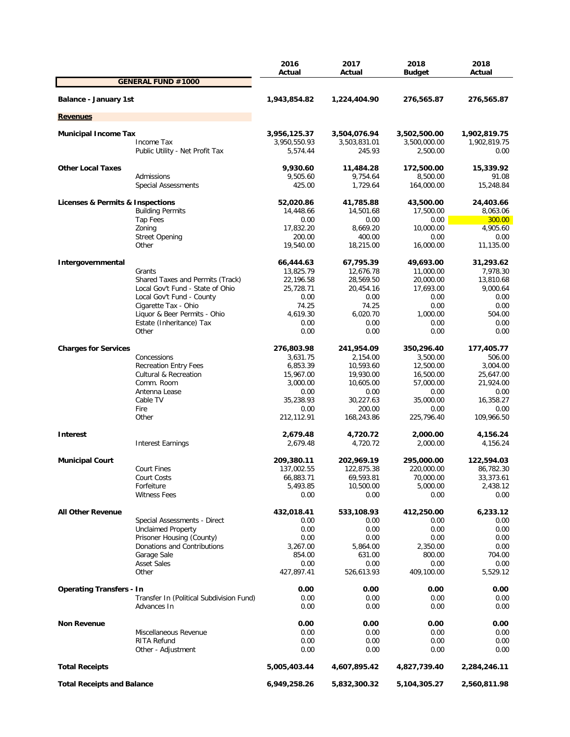|                                   |                                          | 2016<br>Actual | 2017<br>Actual | 2018<br><b>Budget</b> | 2018<br>Actual |
|-----------------------------------|------------------------------------------|----------------|----------------|-----------------------|----------------|
|                                   | <b>GENERAL FUND #1000</b>                |                |                |                       |                |
| <b>Balance - January 1st</b>      |                                          | 1,943,854.82   | 1,224,404.90   | 276,565.87            | 276,565.87     |
| <b>Revenues</b>                   |                                          |                |                |                       |                |
| <b>Municipal Income Tax</b>       |                                          | 3,956,125.37   | 3,504,076.94   | 3,502,500.00          | 1,902,819.75   |
|                                   | Income Tax                               | 3,950,550.93   | 3,503,831.01   | 3,500,000.00          | 1,902,819.75   |
|                                   | Public Utility - Net Profit Tax          | 5,574.44       | 245.93         | 2,500.00              | 0.00           |
| <b>Other Local Taxes</b>          |                                          | 9,930.60       | 11,484.28      | 172,500.00            | 15,339.92      |
|                                   | Admissions                               | 9,505.60       | 9,754.64       | 8,500.00              | 91.08          |
|                                   | <b>Special Assessments</b>               | 425.00         | 1,729.64       | 164,000.00            | 15,248.84      |
| Licenses & Permits & Inspections  |                                          | 52,020.86      | 41,785.88      | 43,500.00             | 24,403.66      |
|                                   | <b>Building Permits</b>                  | 14,448.66      | 14,501.68      | 17,500.00             | 8,063.06       |
|                                   | Tap Fees                                 | 0.00           | 0.00           | 0.00                  | 300.00         |
|                                   | Zoning                                   | 17,832.20      | 8,669.20       | 10,000.00             | 4,905.60       |
|                                   | <b>Street Opening</b>                    | 200.00         | 400.00         | 0.00                  | 0.00           |
|                                   | Other                                    | 19,540.00      | 18,215.00      | 16,000.00             | 11,135.00      |
| Intergovernmental                 |                                          | 66,444.63      | 67,795.39      | 49,693.00             | 31,293.62      |
|                                   | Grants                                   | 13,825.79      | 12,676.78      | 11,000.00             | 7,978.30       |
|                                   | Shared Taxes and Permits (Track)         | 22,196.58      | 28,569.50      | 20,000.00             | 13,810.68      |
|                                   | Local Gov't Fund - State of Ohio         | 25,728.71      | 20,454.16      | 17,693.00             | 9.000.64       |
|                                   | Local Gov't Fund - County                | 0.00           | 0.00           | 0.00                  | 0.00           |
|                                   | Cigarette Tax - Ohio                     | 74.25          | 74.25          | 0.00                  | 0.00           |
|                                   | Liquor & Beer Permits - Ohio             | 4,619.30       | 6,020.70       | 1,000.00              | 504.00         |
|                                   | Estate (Inheritance) Tax                 | 0.00           | 0.00           | 0.00                  | 0.00           |
|                                   | Other                                    | 0.00           | 0.00           | 0.00                  | 0.00           |
| <b>Charges for Services</b>       |                                          | 276,803.98     | 241,954.09     | 350,296.40            | 177,405.77     |
|                                   | Concessions                              | 3,631.75       | 2,154.00       | 3,500.00              | 506.00         |
|                                   | <b>Recreation Entry Fees</b>             | 6,853.39       | 10,593.60      | 12,500.00             | 3,004.00       |
|                                   | <b>Cultural &amp; Recreation</b>         | 15,967.00      | 19,930.00      | 16,500.00             | 25,647.00      |
|                                   | Comm. Room                               | 3,000.00       | 10,605.00      | 57,000.00             | 21,924.00      |
|                                   | Antenna Lease                            | 0.00           | 0.00           | 0.00                  | 0.00           |
|                                   | Cable TV                                 | 35,238.93      | 30,227.63      | 35,000.00             | 16,358.27      |
|                                   | Fire                                     | 0.00           | 200.00         | 0.00                  | 0.00           |
|                                   | Other                                    | 212,112.91     | 168,243.86     | 225,796.40            | 109,966.50     |
| <b>Interest</b>                   |                                          | 2,679.48       | 4,720.72       | 2,000.00              | 4,156.24       |
|                                   | <b>Interest Earnings</b>                 | 2,679.48       | 4,720.72       | 2,000.00              | 4,156.24       |
| <b>Municipal Court</b>            |                                          | 209,380.11     | 202,969.19     | 295,000.00            | 122,594.03     |
|                                   | <b>Court Fines</b>                       | 137,002.55     | 122,875.38     | 220,000.00            | 86,782.30      |
|                                   | Court Costs                              | 66,883.71      | 69,593.81      | 70,000.00             | 33,373.61      |
|                                   | Forfeiture                               | 5,493.85       | 10,500.00      | 5,000.00              | 2,438.12       |
|                                   | <b>Witness Fees</b>                      | 0.00           | 0.00           | 0.00                  | 0.00           |
| <b>All Other Revenue</b>          |                                          | 432,018.41     | 533,108.93     | 412,250.00            | 6,233.12       |
|                                   | Special Assessments - Direct             | 0.00           | 0.00           | 0.00                  | 0.00           |
|                                   | <b>Unclaimed Property</b>                | 0.00           | 0.00           | 0.00                  | 0.00           |
|                                   | Prisoner Housing (County)                | 0.00           | 0.00           | 0.00                  | 0.00           |
|                                   | Donations and Contributions              | 3,267.00       | 5,864.00       | 2,350.00              | 0.00           |
|                                   | Garage Sale                              | 854.00         | 631.00         | 800.00                | 704.00         |
|                                   | <b>Asset Sales</b>                       | 0.00           | 0.00           | 0.00                  | 0.00           |
|                                   | Other                                    | 427,897.41     | 526,613.93     | 409,100.00            | 5,529.12       |
| <b>Operating Transfers - In</b>   |                                          | 0.00           | 0.00           | 0.00                  | 0.00           |
|                                   | Transfer In (Political Subdivision Fund) | 0.00           | 0.00           | 0.00                  | 0.00           |
|                                   | Advances In                              | 0.00           | 0.00           | 0.00                  | 0.00           |
| <b>Non Revenue</b>                |                                          | 0.00           | 0.00           | 0.00                  | 0.00           |
|                                   | Miscellaneous Revenue                    | 0.00           | 0.00           | 0.00                  | 0.00           |
|                                   | RITA Refund                              | 0.00           | 0.00           | 0.00                  | 0.00           |
|                                   | Other - Adjustment                       | 0.00           | 0.00           | 0.00                  | 0.00           |
| <b>Total Receipts</b>             |                                          | 5,005,403.44   | 4,607,895.42   | 4,827,739.40          | 2,284,246.11   |
| <b>Total Receipts and Balance</b> |                                          | 6,949,258.26   | 5,832,300.32   | 5,104,305.27          | 2,560,811.98   |
|                                   |                                          |                |                |                       |                |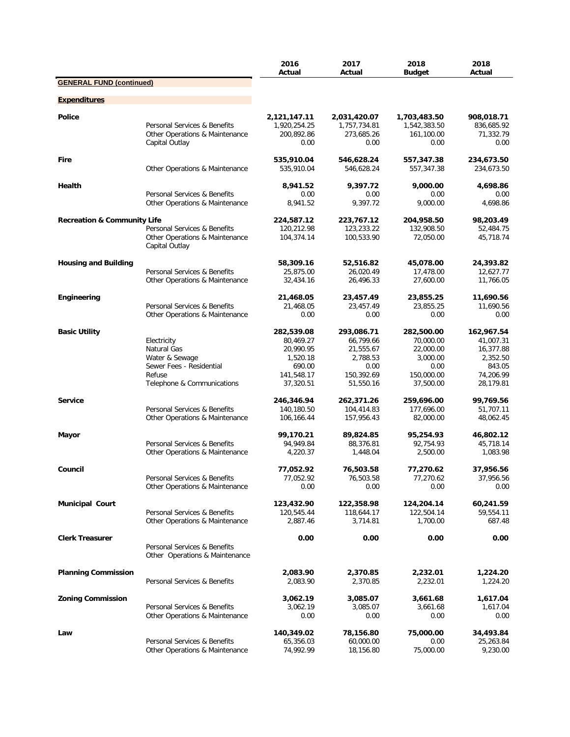|                                        |                                                                                                                  | 2016<br>Actual                                                                        | 2017<br>Actual                                                                      | 2018<br><b>Budget</b>                                                               | 2018<br>Actual                                                                       |
|----------------------------------------|------------------------------------------------------------------------------------------------------------------|---------------------------------------------------------------------------------------|-------------------------------------------------------------------------------------|-------------------------------------------------------------------------------------|--------------------------------------------------------------------------------------|
| <b>GENERAL FUND (continued)</b>        |                                                                                                                  |                                                                                       |                                                                                     |                                                                                     |                                                                                      |
| <b>Expenditures</b>                    |                                                                                                                  |                                                                                       |                                                                                     |                                                                                     |                                                                                      |
| Police                                 | Personal Services & Benefits<br>Other Operations & Maintenance<br>Capital Outlay                                 | 2,121,147.11<br>1,920,254.25<br>200,892.86<br>0.00                                    | 2,031,420.07<br>1,757,734.81<br>273,685.26<br>0.00                                  | 1,703,483.50<br>1,542,383.50<br>161,100.00<br>0.00                                  | 908,018.71<br>836,685.92<br>71,332.79<br>0.00                                        |
| Fire                                   | Other Operations & Maintenance                                                                                   | 535,910.04<br>535,910.04                                                              | 546,628.24<br>546,628.24                                                            | 557,347.38<br>557,347.38                                                            | 234,673.50<br>234,673.50                                                             |
| Health                                 | Personal Services & Benefits                                                                                     | 8,941.52<br>0.00                                                                      | 9,397.72<br>0.00                                                                    | 9,000.00<br>0.00                                                                    | 4,698.86<br>0.00                                                                     |
|                                        | Other Operations & Maintenance                                                                                   | 8,941.52                                                                              | 9,397.72                                                                            | 9,000.00                                                                            | 4,698.86                                                                             |
| <b>Recreation &amp; Community Life</b> | Personal Services & Benefits<br>Other Operations & Maintenance<br>Capital Outlay                                 | 224,587.12<br>120,212.98<br>104,374.14                                                | 223,767.12<br>123,233.22<br>100,533.90                                              | 204,958.50<br>132,908.50<br>72,050.00                                               | 98,203.49<br>52,484.75<br>45,718.74                                                  |
| <b>Housing and Building</b>            | Personal Services & Benefits<br>Other Operations & Maintenance                                                   | 58,309.16<br>25,875.00<br>32,434.16                                                   | 52,516.82<br>26,020.49<br>26,496.33                                                 | 45,078.00<br>17,478.00<br>27,600.00                                                 | 24,393.82<br>12,627.77<br>11,766.05                                                  |
| Engineering                            | Personal Services & Benefits<br>Other Operations & Maintenance                                                   | 21,468.05<br>21,468.05<br>0.00                                                        | 23,457.49<br>23,457.49<br>0.00                                                      | 23,855.25<br>23,855.25<br>0.00                                                      | 11,690.56<br>11,690.56<br>0.00                                                       |
| <b>Basic Utility</b>                   | Electricity<br>Natural Gas<br>Water & Sewage<br>Sewer Fees - Residential<br>Refuse<br>Telephone & Communications | 282,539.08<br>80,469.27<br>20,990.95<br>1,520.18<br>690.00<br>141,548.17<br>37,320.51 | 293,086.71<br>66,799.66<br>21,555.67<br>2,788.53<br>0.00<br>150,392.69<br>51,550.16 | 282,500.00<br>70,000.00<br>22,000.00<br>3,000.00<br>0.00<br>150,000.00<br>37,500.00 | 162,967.54<br>41,007.31<br>16,377.88<br>2,352.50<br>843.05<br>74,206.99<br>28,179.81 |
| <b>Service</b>                         | Personal Services & Benefits<br>Other Operations & Maintenance                                                   | 246,346.94<br>140,180.50<br>106,166.44                                                | 262,371.26<br>104,414.83<br>157,956.43                                              | 259,696.00<br>177,696.00<br>82,000.00                                               | 99,769.56<br>51,707.11<br>48,062.45                                                  |
| Mayor                                  | Personal Services & Benefits<br>Other Operations & Maintenance                                                   | 99,170.21<br>94,949.84<br>4,220.37                                                    | 89,824.85<br>88,376.81<br>1,448.04                                                  | 95,254.93<br>92,754.93<br>2,500.00                                                  | 46,802.12<br>45,718.14<br>1,083.98                                                   |
| Council                                | Personal Services & Benefits<br>Other Operations & Maintenance                                                   | 77,052.92<br>77,052.92<br>0.00                                                        | 76,503.58<br>76,503.58<br>0.00                                                      | 77,270.62<br>77,270.62<br>0.00                                                      | 37,956.56<br>37,956.56<br>0.00                                                       |
| <b>Municipal Court</b>                 | Personal Services & Benefits<br>Other Operations & Maintenance                                                   | 123,432.90<br>120,545.44<br>2,887.46                                                  | 122,358.98<br>118,644.17<br>3,714.81                                                | 124,204.14<br>122,504.14<br>1,700.00                                                | 60,241.59<br>59,554.11<br>687.48                                                     |
| <b>Clerk Treasurer</b>                 | Personal Services & Benefits<br>Other Operations & Maintenance                                                   | 0.00                                                                                  | 0.00                                                                                | 0.00                                                                                | 0.00                                                                                 |
| <b>Planning Commission</b>             | Personal Services & Benefits                                                                                     | 2,083.90<br>2,083.90                                                                  | 2,370.85<br>2,370.85                                                                | 2,232.01<br>2,232.01                                                                | 1,224.20<br>1,224.20                                                                 |
| <b>Zoning Commission</b>               | Personal Services & Benefits<br>Other Operations & Maintenance                                                   | 3,062.19<br>3,062.19<br>0.00                                                          | 3,085.07<br>3,085.07<br>0.00                                                        | 3,661.68<br>3,661.68<br>0.00                                                        | 1,617.04<br>1,617.04<br>0.00                                                         |
| Law                                    | Personal Services & Benefits<br>Other Operations & Maintenance                                                   | 140,349.02<br>65,356.03<br>74,992.99                                                  | 78,156.80<br>60,000.00<br>18,156.80                                                 | 75,000.00<br>0.00<br>75,000.00                                                      | 34,493.84<br>25,263.84<br>9,230.00                                                   |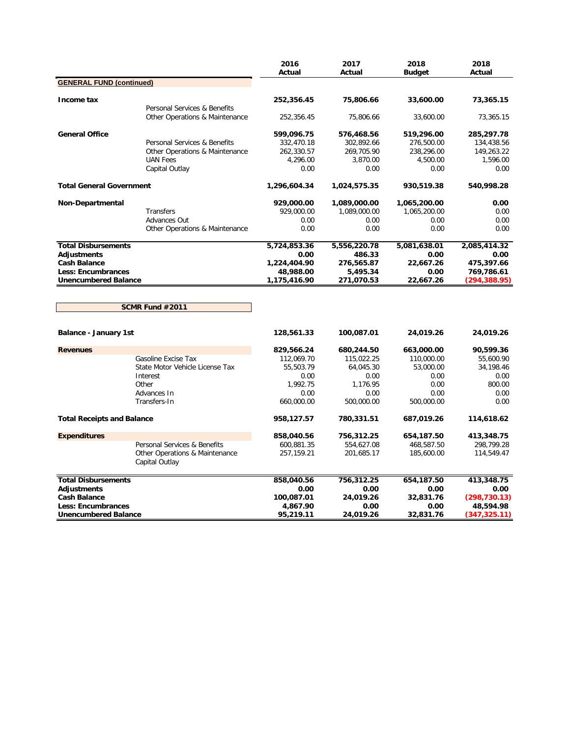|                                   |                                                  | 2016<br>Actual | 2017<br>Actual | 2018<br><b>Budget</b> | 2018<br>Actual |
|-----------------------------------|--------------------------------------------------|----------------|----------------|-----------------------|----------------|
| <b>GENERAL FUND (continued)</b>   |                                                  |                |                |                       |                |
|                                   |                                                  |                |                |                       |                |
| Income tax                        |                                                  | 252,356.45     | 75,806.66      | 33,600.00             | 73,365.15      |
|                                   | Personal Services & Benefits                     |                |                |                       |                |
|                                   | Other Operations & Maintenance                   | 252,356.45     | 75,806.66      | 33,600.00             | 73,365.15      |
| <b>General Office</b>             |                                                  | 599,096.75     | 576,468.56     | 519,296.00            | 285,297.78     |
|                                   | Personal Services & Benefits                     | 332,470.18     | 302,892.66     | 276,500.00            | 134,438.56     |
|                                   | Other Operations & Maintenance                   | 262,330.57     | 269,705.90     | 238,296.00            | 149,263.22     |
|                                   | <b>UAN Fees</b>                                  | 4,296.00       | 3,870.00       | 4,500.00              | 1,596.00       |
|                                   | Capital Outlay                                   | 0.00           | 0.00           | 0.00                  | 0.00           |
| <b>Total General Government</b>   |                                                  | 1,296,604.34   | 1,024,575.35   | 930,519.38            | 540,998.28     |
| Non-Departmental                  |                                                  | 929,000.00     | 1,089,000.00   | 1,065,200.00          | 0.00           |
|                                   | <b>Transfers</b>                                 | 929,000.00     | 1,089,000.00   | 1,065,200.00          | 0.00           |
|                                   | Advances Out                                     | 0.00           | 0.00           | 0.00                  | 0.00           |
|                                   | Other Operations & Maintenance                   | 0.00           | 0.00           | 0.00                  | 0.00           |
| <b>Total Disbursements</b>        |                                                  | 5,724,853.36   | 5,556,220.78   | 5,081,638.01          | 2,085,414.32   |
| <b>Adjustments</b>                |                                                  | 0.00           | 486.33         | 0.00                  | 0.00           |
| <b>Cash Balance</b>               |                                                  | 1,224,404.90   | 276,565.87     | 22,667.26             | 475,397.66     |
| <b>Less: Encumbrances</b>         |                                                  | 48,988.00      | 5,495.34       | 0.00                  | 769,786.61     |
| <b>Unencumbered Balance</b>       |                                                  | 1,175,416.90   | 271,070.53     | 22,667.26             | (294, 388.95)  |
|                                   | SCMR Fund #2011                                  |                |                |                       |                |
| <b>Balance - January 1st</b>      |                                                  | 128,561.33     | 100,087.01     | 24,019.26             | 24,019.26      |
| <b>Revenues</b>                   |                                                  | 829,566.24     | 680,244.50     | 663,000.00            | 90,599.36      |
|                                   | Gasoline Excise Tax                              | 112,069.70     | 115,022.25     | 110,000.00            | 55,600.90      |
|                                   | State Motor Vehicle License Tax                  | 55,503.79      | 64,045.30      | 53,000.00             | 34,198.46      |
|                                   | Interest                                         | 0.00           | 0.00           | 0.00                  | 0.00           |
|                                   | Other                                            | 1,992.75       | 1,176.95       | 0.00                  | 800.00         |
|                                   | Advances In                                      | 0.00           | 0.00           | 0.00                  | 0.00           |
|                                   | Transfers-In                                     | 660,000.00     | 500,000.00     | 500,000.00            | 0.00           |
| <b>Total Receipts and Balance</b> |                                                  | 958,127.57     | 780,331.51     | 687,019.26            | 114,618.62     |
| <b>Expenditures</b>               |                                                  | 858,040.56     | 756,312.25     | 654,187.50            | 413,348.75     |
|                                   | Personal Services & Benefits                     | 600,881.35     | 554,627.08     | 468,587.50            | 298,799.28     |
|                                   | Other Operations & Maintenance<br>Capital Outlay | 257, 159. 21   | 201,685.17     | 185,600.00            | 114,549.47     |
| <b>Total Disbursements</b>        |                                                  | 858,040.56     | 756,312.25     | 654,187.50            | 413,348.75     |
| <b>Adjustments</b>                |                                                  | 0.00           | 0.00           | 0.00                  | 0.00           |
| <b>Cash Balance</b>               |                                                  | 100,087.01     | 24,019.26      | 32,831.76             | (298, 730.13)  |
| <b>Less: Encumbrances</b>         |                                                  | 4,867.90       | 0.00           | 0.00                  | 48,594.98      |
| <b>Unencumbered Balance</b>       |                                                  | 95,219.11      | 24,019.26      | 32,831.76             | (347,325.11)   |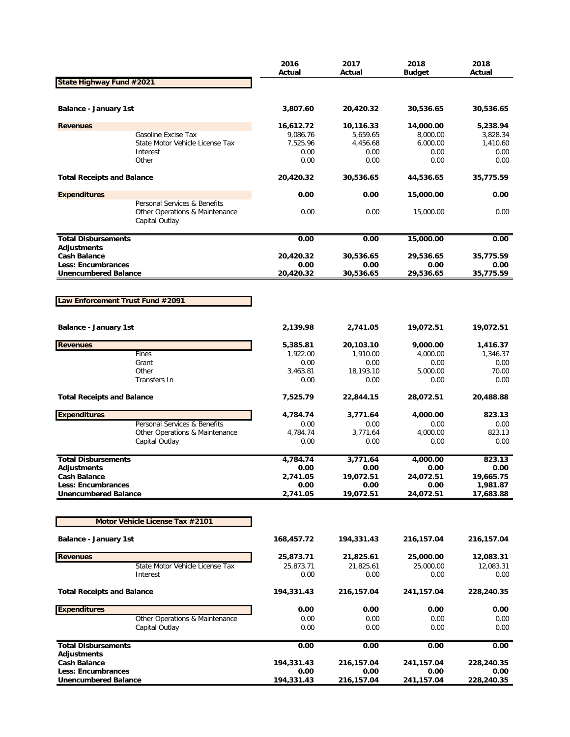|                                           |                                                                                  | 2016<br>Actual     | 2017<br>Actual     | 2018<br><b>Budget</b> | 2018<br>Actual     |
|-------------------------------------------|----------------------------------------------------------------------------------|--------------------|--------------------|-----------------------|--------------------|
| State Highway Fund #2021                  |                                                                                  |                    |                    |                       |                    |
|                                           |                                                                                  |                    |                    |                       |                    |
| Balance - January 1st                     |                                                                                  | 3,807.60           | 20,420.32          | 30,536.65             | 30,536.65          |
| <b>Revenues</b>                           |                                                                                  | 16,612.72          | 10,116.33          | 14,000.00             | 5,238.94           |
|                                           | Gasoline Excise Tax                                                              | 9,086.76           | 5,659.65           | 8,000.00              | 3,828.34           |
|                                           | State Motor Vehicle License Tax                                                  | 7,525.96           | 4,456.68           | 6,000.00              | 1,410.60           |
|                                           | Interest<br>Other                                                                | 0.00<br>0.00       | 0.00<br>0.00       | 0.00<br>0.00          | 0.00<br>0.00       |
|                                           |                                                                                  |                    |                    |                       |                    |
| <b>Total Receipts and Balance</b>         |                                                                                  | 20,420.32          | 30,536.65          | 44,536.65             | 35,775.59          |
| <b>Expenditures</b>                       |                                                                                  | 0.00               | 0.00               | 15,000.00             | 0.00               |
|                                           | Personal Services & Benefits<br>Other Operations & Maintenance<br>Capital Outlay | 0.00               | 0.00               | 15,000.00             | 0.00               |
| <b>Total Disbursements</b>                |                                                                                  | 0.00               | 0.00               | 15,000.00             | 0.00               |
| <b>Adjustments</b>                        |                                                                                  |                    |                    |                       |                    |
| <b>Cash Balance</b>                       |                                                                                  | 20,420.32          | 30,536.65          | 29,536.65             | 35,775.59          |
| Less: Encumbrances                        |                                                                                  | 0.00               | 0.00               | 0.00                  | 0.00               |
| <b>Unencumbered Balance</b>               |                                                                                  | 20,420.32          | 30,536.65          | 29,536.65             | 35,775.59          |
|                                           |                                                                                  |                    |                    |                       |                    |
| Law Enforcement Trust Fund #2091          |                                                                                  |                    |                    |                       |                    |
|                                           |                                                                                  |                    |                    |                       |                    |
|                                           |                                                                                  |                    |                    |                       |                    |
| Balance - January 1st                     |                                                                                  | 2,139.98           | 2,741.05           | 19,072.51             | 19,072.51          |
| <b>Revenues</b>                           |                                                                                  | 5,385.81           | 20,103.10          | 9,000.00              | 1,416.37           |
|                                           | Fines                                                                            | 1,922.00           | 1,910.00           | 4,000.00              | 1,346.37           |
|                                           | Grant                                                                            | 0.00               | 0.00               | 0.00                  | 0.00               |
|                                           | Other                                                                            | 3,463.81           | 18,193.10          | 5,000.00              | 70.00              |
|                                           | Transfers In                                                                     | 0.00               | 0.00               | 0.00                  | 0.00               |
| <b>Total Receipts and Balance</b>         |                                                                                  | 7,525.79           | 22,844.15          | 28,072.51             | 20,488.88          |
| <b>Expenditures</b>                       |                                                                                  | 4,784.74           | 3,771.64           | 4,000.00              | 823.13             |
|                                           | Personal Services & Benefits                                                     | 0.00               | 0.00               | 0.00                  | 0.00               |
|                                           | Other Operations & Maintenance                                                   | 4,784.74           | 3,771.64           | 4,000.00              | 823.13             |
|                                           | Capital Outlay                                                                   | 0.00               | 0.00               | 0.00                  | 0.00               |
|                                           |                                                                                  |                    |                    |                       |                    |
| <b>Total Disbursements</b>                |                                                                                  | 4,784.74           | 3,771.64<br>0.00   | 4,000.00              | 823.13<br>0.00     |
| <b>Adjustments</b><br><b>Cash Balance</b> |                                                                                  | 0.00<br>2,741.05   | 19,072.51          | 0.00<br>24,072.51     | 19,665.75          |
| <b>Less: Encumbrances</b>                 |                                                                                  | 0.00               | 0.00               | 0.00                  | 1,981.87           |
| <b>Unencumbered Balance</b>               |                                                                                  | 2,741.05           | 19,072.51          | 24,072.51             | 17,683.88          |
|                                           |                                                                                  |                    |                    |                       |                    |
|                                           | Motor Vehicle License Tax #2101                                                  |                    |                    |                       |                    |
|                                           |                                                                                  |                    |                    |                       |                    |
| <b>Balance - January 1st</b>              |                                                                                  | 168,457.72         | 194,331.43         | 216,157.04            | 216,157.04         |
| <b>Revenues</b>                           |                                                                                  | 25,873.71          | 21,825.61          | 25,000.00             | 12,083.31          |
|                                           | State Motor Vehicle License Tax                                                  | 25,873.71          | 21,825.61          | 25,000.00             | 12,083.31          |
|                                           | Interest                                                                         | 0.00               | 0.00               | 0.00                  | 0.00               |
|                                           |                                                                                  |                    |                    |                       |                    |
| <b>Total Receipts and Balance</b>         |                                                                                  | 194,331.43         | 216,157.04         | 241,157.04            | 228,240.35         |
| <b>Expenditures</b>                       |                                                                                  | 0.00               | 0.00               | 0.00                  | 0.00               |
|                                           | Other Operations & Maintenance                                                   | 0.00               | 0.00               | 0.00                  | 0.00               |
|                                           | Capital Outlay                                                                   | 0.00               | 0.00               | 0.00                  | 0.00               |
| <b>Total Disbursements</b>                |                                                                                  | 0.00               | 0.00               | 0.00                  | 0.00               |
| <b>Adjustments</b>                        |                                                                                  |                    |                    |                       |                    |
| <b>Cash Balance</b><br>Less: Encumbrances |                                                                                  | 194,331.43<br>0.00 | 216,157.04<br>0.00 | 241,157.04<br>0.00    | 228,240.35<br>0.00 |
| <b>Unencumbered Balance</b>               |                                                                                  | 194,331.43         | 216,157.04         | 241, 157.04           | 228,240.35         |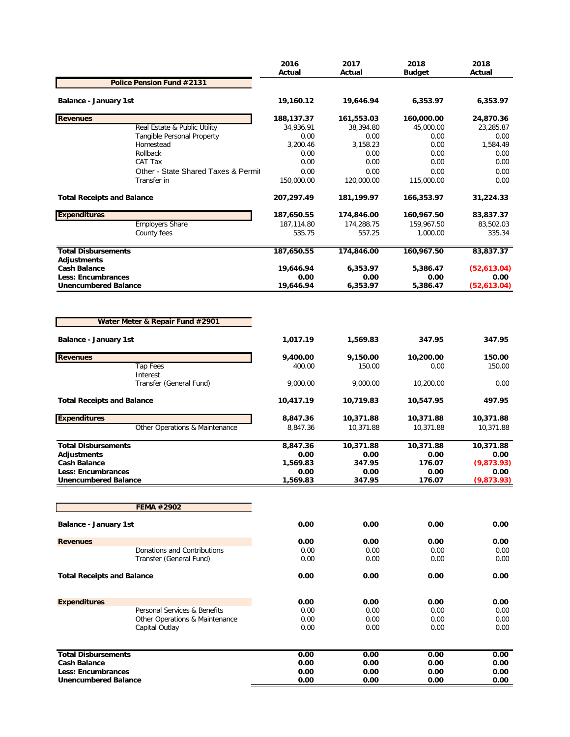|                                           |                                     | 2016<br>Actual     | 2017<br>Actual     | 2018<br><b>Budget</b> | 2018<br>Actual   |
|-------------------------------------------|-------------------------------------|--------------------|--------------------|-----------------------|------------------|
|                                           | Police Pension Fund #2131           |                    |                    |                       |                  |
| <b>Balance - January 1st</b>              |                                     | 19,160.12          | 19,646.94          | 6,353.97              | 6,353.97         |
| <b>Revenues</b>                           |                                     | 188,137.37         | 161,553.03         | 160,000.00            | 24,870.36        |
|                                           | Real Estate & Public Utility        | 34,936.91          | 38,394.80          | 45,000.00             | 23,285.87        |
|                                           | Tangible Personal Property          | 0.00               | 0.00               | 0.00                  | 0.00             |
|                                           | Homestead                           | 3,200.46           | 3,158.23           | 0.00                  | 1,584.49         |
|                                           | Rollback<br>CAT Tax                 | 0.00<br>0.00       | 0.00<br>0.00       | 0.00<br>0.00          | 0.00<br>0.00     |
|                                           | Other - State Shared Taxes & Permit | 0.00               | 0.00               | 0.00                  | 0.00             |
|                                           | Transfer in                         | 150,000.00         | 120,000.00         | 115,000.00            | 0.00             |
| <b>Total Receipts and Balance</b>         |                                     | 207,297.49         | 181,199.97         | 166,353.97            | 31,224.33        |
| <b>Expenditures</b>                       |                                     | 187,650.55         | 174,846.00         | 160,967.50            | 83,837.37        |
|                                           | <b>Employers Share</b>              | 187,114.80         | 174,288.75         | 159,967.50            | 83,502.03        |
|                                           | County fees                         | 535.75             | 557.25             | 1,000.00              | 335.34           |
| <b>Total Disbursements</b><br>Adjustments |                                     | 187,650.55         | 174,846.00         | 160,967.50            | 83,837.37        |
| <b>Cash Balance</b>                       |                                     | 19,646.94          | 6,353.97           | 5,386.47              | (52,613.04)      |
| <b>Less: Encumbrances</b>                 |                                     | 0.00               | 0.00               | 0.00                  | 0.00             |
| <b>Unencumbered Balance</b>               |                                     | 19,646.94          | 6,353.97           | 5,386.47              | (52,613.04)      |
| <b>Balance - January 1st</b>              | Water Meter & Repair Fund #2901     | 1,017.19           | 1,569.83           | 347.95                | 347.95           |
|                                           |                                     |                    |                    |                       |                  |
| <b>Revenues</b>                           | <b>Tap Fees</b>                     | 9,400.00<br>400.00 | 9,150.00<br>150.00 | 10,200.00<br>0.00     | 150.00<br>150.00 |
|                                           | Interest<br>Transfer (General Fund) | 9,000.00           | 9,000.00           | 10,200.00             | 0.00             |
| <b>Total Receipts and Balance</b>         |                                     | 10,417.19          | 10,719.83          | 10,547.95             | 497.95           |
| <b>Expenditures</b>                       |                                     | 8,847.36           | 10,371.88          | 10,371.88             | 10,371.88        |
|                                           | Other Operations & Maintenance      | 8,847.36           | 10,371.88          | 10,371.88             | 10,371.88        |
| <b>Total Disbursements</b>                |                                     | 8,847.36           | 10,371.88          | 10,371.88             | 10,371.88        |
| Adjustments                               |                                     | 0.00               | 0.00               | 0.00                  | 0.00             |
| <b>Cash Balance</b>                       |                                     | 1,569.83           | 347.95             | 176.07                | (9,873.93)       |
| <b>Less: Encumbrances</b>                 |                                     | 0.00               | 0.00               | 0.00                  | 0.00             |
| <b>Unencumbered Balance</b>               |                                     | 1,569.83           | 347.95             | 176.07                | (9,873.93)       |
|                                           |                                     |                    |                    |                       |                  |
|                                           | FEMA #2902                          |                    |                    |                       |                  |
| <b>Balance - January 1st</b>              |                                     | 0.00               | 0.00               | 0.00                  | 0.00             |
| <b>Revenues</b>                           |                                     | 0.00               | 0.00               | 0.00                  | 0.00             |
|                                           | Donations and Contributions         | 0.00               | 0.00               | 0.00                  | 0.00             |
|                                           | Transfer (General Fund)             | 0.00               | 0.00               | 0.00                  | 0.00             |
| <b>Total Receipts and Balance</b>         |                                     | 0.00               | 0.00               | 0.00                  | 0.00             |
| <b>Expenditures</b>                       |                                     | 0.00               | 0.00               | 0.00                  | 0.00             |
|                                           | Personal Services & Benefits        | 0.00               | 0.00               | 0.00                  | 0.00             |
|                                           | Other Operations & Maintenance      | 0.00               | 0.00               | 0.00                  | 0.00             |
|                                           | Capital Outlay                      | 0.00               | 0.00               | 0.00                  | 0.00             |
| <b>Total Disbursements</b>                |                                     | 0.00               | 0.00               | 0.00                  | 0.00             |
| <b>Cash Balance</b>                       |                                     | 0.00               | 0.00               | 0.00                  | 0.00             |
| <b>Less: Encumbrances</b>                 |                                     | 0.00               | 0.00               | 0.00                  | 0.00             |
| <b>Unencumbered Balance</b>               |                                     | 0.00               | 0.00               | 0.00                  | 0.00             |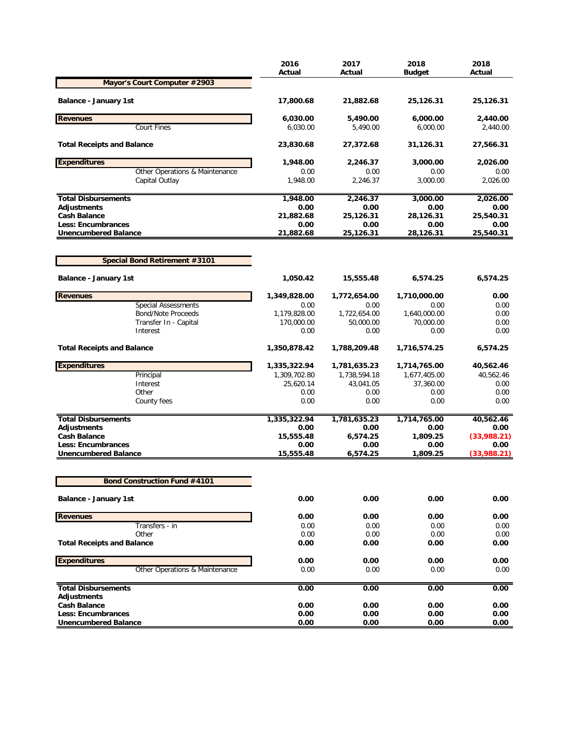|                                                          | 2016<br>Actual    | 2017<br>Actual    | 2018<br><b>Budget</b> | 2018<br>Actual      |
|----------------------------------------------------------|-------------------|-------------------|-----------------------|---------------------|
| Mayor's Court Computer #2903                             |                   |                   |                       |                     |
| Balance - January 1st                                    | 17,800.68         | 21,882.68         | 25,126.31             | 25,126.31           |
| <b>Revenues</b>                                          | 6,030.00          | 5,490.00          | 6,000.00              | 2,440.00            |
| <b>Court Fines</b>                                       | 6,030.00          | 5,490.00          | 6,000.00              | 2,440.00            |
| <b>Total Receipts and Balance</b>                        | 23,830.68         | 27,372.68         | 31,126.31             | 27,566.31           |
| <b>Expenditures</b>                                      | 1,948.00          | 2,246.37          | 3,000.00              | 2,026.00            |
| Other Operations & Maintenance<br>Capital Outlay         | 0.00<br>1,948.00  | 0.00<br>2,246.37  | 0.00<br>3,000.00      | 0.00<br>2,026.00    |
|                                                          |                   |                   |                       |                     |
| <b>Total Disbursements</b>                               | 1,948.00          | 2,246.37          | 3,000.00              | 2,026.00            |
| Adjustments                                              | 0.00              | 0.00              | 0.00                  | 0.00                |
| <b>Cash Balance</b><br><b>Less: Encumbrances</b>         | 21,882.68<br>0.00 | 25,126.31<br>0.00 | 28,126.31<br>0.00     | 25,540.31<br>0.00   |
| <b>Unencumbered Balance</b>                              | 21,882.68         | 25,126.31         | 28,126.31             | 25,540.31           |
|                                                          |                   |                   |                       |                     |
| <b>Special Bond Retirement #3101</b>                     |                   |                   |                       |                     |
| <b>Balance - January 1st</b>                             | 1,050.42          | 15,555.48         | 6,574.25              | 6,574.25            |
| <b>Revenues</b>                                          | 1,349,828.00      | 1,772,654.00      | 1,710,000.00          | 0.00                |
| <b>Special Assessments</b>                               | 0.00              | 0.00              | 0.00                  | 0.00                |
| <b>Bond/Note Proceeds</b>                                | 1,179,828.00      | 1,722,654.00      | 1,640,000.00          | 0.00                |
| Transfer In - Capital                                    | 170,000.00        | 50,000.00         | 70,000.00             | 0.00                |
| Interest                                                 | 0.00              | 0.00              | 0.00                  | 0.00                |
| <b>Total Receipts and Balance</b>                        | 1,350,878.42      | 1,788,209.48      | 1,716,574.25          | 6,574.25            |
| <b>Expenditures</b>                                      | 1,335,322.94      | 1,781,635.23      | 1,714,765.00          | 40,562.46           |
| Principal                                                | 1,309,702.80      | 1,738,594.18      | 1,677,405.00          | 40,562.46           |
| Interest                                                 | 25,620.14         | 43,041.05         | 37,360.00             | 0.00                |
| Other                                                    | 0.00              | 0.00              | 0.00                  | 0.00                |
| County fees                                              | 0.00              | 0.00              | 0.00                  | 0.00                |
| <b>Total Disbursements</b>                               | 1,335,322.94      | 1,781,635.23      | 1,714,765.00          | 40,562.46           |
| Adjustments                                              | 0.00              | 0.00              | 0.00                  | 0.00                |
| <b>Cash Balance</b>                                      | 15,555.48         | 6,574.25          | 1,809.25              | (33,988.21)         |
| <b>Less: Encumbrances</b><br><b>Unencumbered Balance</b> | 0.00<br>15,555.48 | 0.00<br>6,574.25  | 0.00<br>1,809.25      | 0.00<br>(33,988.21) |
|                                                          |                   |                   |                       |                     |
| <b>Bond Construction Fund #4101</b>                      |                   |                   |                       |                     |
| <b>Balance - January 1st</b>                             | 0.00              | 0.00              | 0.00                  | 0.00                |
| <b>Revenues</b>                                          | 0.00              | 0.00              | 0.00                  | 0.00                |
| Transfers - in                                           | 0.00              | 0.00              | 0.00                  | 0.00                |
| Other                                                    | 0.00              | 0.00              | 0.00                  | 0.00                |
| <b>Total Receipts and Balance</b>                        | 0.00              | 0.00              | 0.00                  | 0.00                |
| <b>Expenditures</b>                                      | 0.00              | 0.00              | 0.00                  | 0.00                |
| Other Operations & Maintenance                           | 0.00              | 0.00              | 0.00                  | 0.00                |
| <b>Total Disbursements</b>                               | 0.00              | 0.00              | 0.00                  | 0.00                |
| Adjustments                                              |                   |                   |                       |                     |
| <b>Cash Balance</b>                                      | 0.00              | 0.00              | 0.00                  | 0.00                |
| <b>Less: Encumbrances</b>                                | 0.00              | 0.00              | 0.00                  | 0.00                |
| <b>Unencumbered Balance</b>                              | 0.00              | 0.00              | 0.00                  | 0.00                |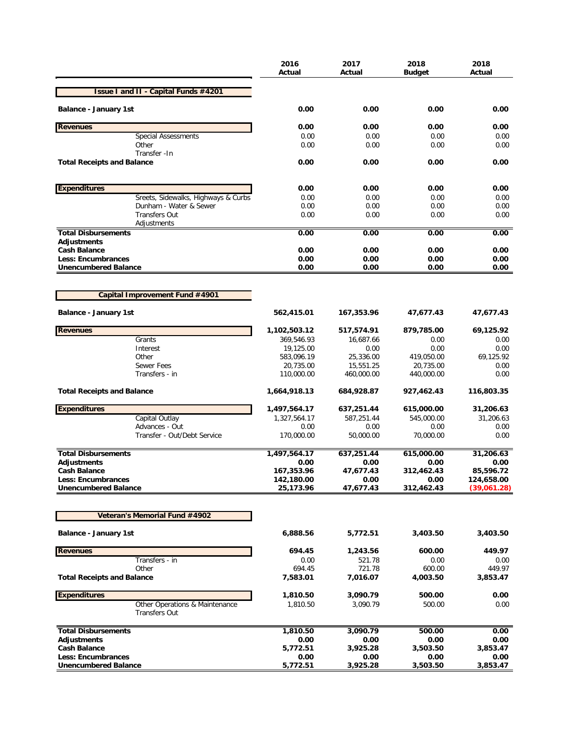|                                                        | 2016<br>Actual          | 2017<br>Actual         | 2018<br>Budget          | 2018<br>Actual    |
|--------------------------------------------------------|-------------------------|------------------------|-------------------------|-------------------|
| <b>Issue I and II - Capital Funds #4201</b>            |                         |                        |                         |                   |
| <b>Balance - January 1st</b>                           | 0.00                    | 0.00                   | 0.00                    | 0.00              |
| <b>Revenues</b>                                        | 0.00                    | 0.00                   | 0.00                    | 0.00              |
| <b>Special Assessments</b>                             | 0.00                    | 0.00                   | 0.00                    | 0.00              |
| Other                                                  | 0.00                    | 0.00                   | 0.00                    | 0.00              |
| Transfer - In<br><b>Total Receipts and Balance</b>     | 0.00                    | 0.00                   | 0.00                    | 0.00              |
| <b>Expenditures</b>                                    | 0.00                    | 0.00                   | 0.00                    | 0.00              |
| Sreets, Sidewalks, Highways & Curbs                    | 0.00                    | 0.00                   | 0.00                    | 0.00              |
| Dunham - Water & Sewer                                 | 0.00                    | 0.00                   | 0.00                    | 0.00              |
| <b>Transfers Out</b>                                   | 0.00                    | 0.00                   | 0.00                    | 0.00              |
| Adjustments                                            |                         |                        |                         |                   |
| <b>Total Disbursements</b><br><b>Adjustments</b>       | 0.00                    | 0.00                   | 0.00                    | 0.00              |
| <b>Cash Balance</b>                                    | 0.00                    | 0.00                   | 0.00                    | 0.00              |
| <b>Less: Encumbrances</b>                              | 0.00                    | 0.00                   | 0.00                    | 0.00              |
| <b>Unencumbered Balance</b>                            | 0.00                    | 0.00                   | 0.00                    | 0.00              |
|                                                        |                         |                        |                         |                   |
| Capital Improvement Fund #4901                         |                         |                        |                         |                   |
| <b>Balance - January 1st</b>                           | 562,415.01              | 167,353.96             | 47,677.43               | 47,677.43         |
| <b>Revenues</b>                                        | 1,102,503.12            | 517,574.91             | 879,785.00              | 69,125.92         |
| Grants                                                 | 369,546.93              | 16,687.66              | 0.00                    | 0.00              |
| Interest                                               | 19,125.00               | 0.00                   | 0.00                    | 0.00              |
| Other<br><b>Sewer Fees</b>                             | 583,096.19              | 25,336.00<br>15,551.25 | 419,050.00              | 69,125.92<br>0.00 |
| Transfers - in                                         | 20,735.00<br>110,000.00 | 460,000.00             | 20,735.00<br>440,000.00 | 0.00              |
| <b>Total Receipts and Balance</b>                      | 1,664,918.13            | 684,928.87             | 927,462.43              | 116,803.35        |
| <b>Expenditures</b>                                    | 1,497,564.17            | 637,251.44             | 615,000.00              | 31,206.63         |
| Capital Outlay                                         | 1,327,564.17            | 587,251.44             | 545,000.00              | 31,206.63         |
| Advances - Out                                         | 0.00                    | 0.00                   | 0.00                    | 0.00              |
| Transfer - Out/Debt Service                            | 170,000.00              | 50,000.00              | 70,000.00               | 0.00              |
| <b>Total Disbursements</b>                             | 1,497,564.17            | 637,251.44             | 615,000.00              | 31,206.63         |
| <b>Adjustments</b><br><b>Cash Balance</b>              | 0.00<br>167,353.96      | 0.00<br>47,677.43      | 0.00<br>312,462.43      | 0.00<br>85,596.72 |
| <b>Less: Encumbrances</b>                              | 142,180.00              | 0.00                   | 0.00                    | 124,658.00        |
| <b>Unencumbered Balance</b>                            | 25,173.96               | 47,677.43              | 312,462.43              | (39,061.28)       |
|                                                        |                         |                        |                         |                   |
| Veteran's Memorial Fund #4902                          |                         |                        |                         |                   |
| <b>Balance - January 1st</b>                           | 6,888.56                | 5,772.51               | 3,403.50                | 3,403.50          |
| <b>Revenues</b>                                        | 694.45                  | 1,243.56               | 600.00                  | 449.97            |
| Transfers - in                                         | 0.00                    | 521.78                 | 0.00                    | 0.00              |
| Other                                                  | 694.45                  | 721.78                 | 600.00                  | 449.97            |
| <b>Total Receipts and Balance</b>                      | 7,583.01                | 7,016.07               | 4,003.50                | 3,853.47          |
| <b>Expenditures</b>                                    | 1,810.50                | 3,090.79               | 500.00                  | 0.00              |
| Other Operations & Maintenance<br><b>Transfers Out</b> | 1,810.50                | 3,090.79               | 500.00                  | 0.00              |
| <b>Total Disbursements</b>                             | 1,810.50                | 3,090.79               | 500.00                  | 0.00              |
| Adjustments                                            | 0.00                    | 0.00                   | 0.00                    | 0.00              |
| <b>Cash Balance</b>                                    | 5,772.51                | 3,925.28               | 3,503.50                | 3,853.47          |
| <b>Less: Encumbrances</b>                              | 0.00                    | 0.00                   | 0.00                    | 0.00              |
| <b>Unencumbered Balance</b>                            | 5,772.51                | 3,925.28               | 3,503.50                | 3,853.47          |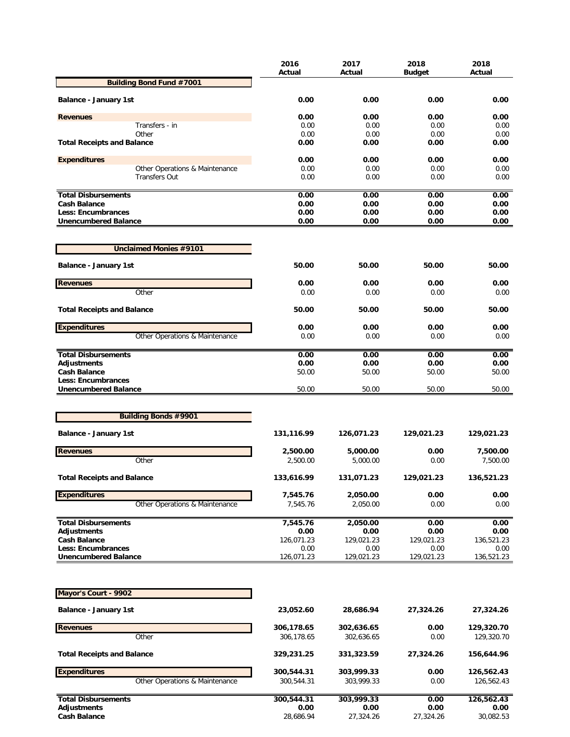|                                                        | 2016<br>Actual     | 2017<br>Actual     | 2018<br><b>Budget</b> | 2018<br>Actual     |
|--------------------------------------------------------|--------------------|--------------------|-----------------------|--------------------|
| <b>Building Bond Fund #7001</b>                        |                    |                    |                       |                    |
| <b>Balance - January 1st</b>                           | 0.00               | 0.00               | 0.00                  | 0.00               |
| <b>Revenues</b>                                        | 0.00               | 0.00               | 0.00                  | 0.00               |
| Transfers - in                                         | 0.00               | 0.00               | 0.00                  | 0.00               |
| Other                                                  | 0.00               | 0.00               | 0.00                  | 0.00               |
| <b>Total Receipts and Balance</b>                      | 0.00               | 0.00               | 0.00                  | 0.00               |
| <b>Expenditures</b>                                    | 0.00               | 0.00               | 0.00                  | 0.00               |
| Other Operations & Maintenance<br><b>Transfers Out</b> | 0.00<br>0.00       | 0.00<br>0.00       | 0.00<br>0.00          | 0.00<br>0.00       |
|                                                        |                    |                    |                       |                    |
| <b>Total Disbursements</b><br><b>Cash Balance</b>      | 0.00<br>0.00       | 0.00<br>0.00       | 0.00<br>0.00          | 0.00<br>0.00       |
| Less: Encumbrances                                     | 0.00               | 0.00               | 0.00                  | 0.00               |
| <b>Unencumbered Balance</b>                            | 0.00               | 0.00               | 0.00                  | 0.00               |
| <b>Unclaimed Monies #9101</b>                          |                    |                    |                       |                    |
|                                                        |                    |                    |                       |                    |
| <b>Balance - January 1st</b>                           | 50.00              | 50.00              | 50.00                 | 50.00              |
| <b>Revenues</b>                                        | 0.00               | 0.00               | 0.00                  | 0.00               |
| Other                                                  | 0.00               | 0.00               | 0.00                  | 0.00               |
| <b>Total Receipts and Balance</b>                      | 50.00              | 50.00              | 50.00                 | 50.00              |
| <b>Expenditures</b>                                    | 0.00               | 0.00               | 0.00                  | 0.00               |
| Other Operations & Maintenance                         | 0.00               | 0.00               | 0.00                  | 0.00               |
| <b>Total Disbursements</b>                             | 0.00               | 0.00               | 0.00                  | 0.00               |
| <b>Adjustments</b>                                     | 0.00               | 0.00               | 0.00                  | 0.00               |
| <b>Cash Balance</b><br>Less: Encumbrances              | 50.00              | 50.00              | 50.00                 | 50.00              |
| <b>Unencumbered Balance</b>                            | 50.00              | 50.00              | 50.00                 | 50.00              |
|                                                        |                    |                    |                       |                    |
| <b>Building Bonds #9901</b>                            |                    |                    |                       |                    |
| <b>Balance - January 1st</b>                           | 131,116.99         | 126,071.23         | 129,021.23            | 129,021.23         |
| <b>Revenues</b>                                        | 2,500.00           | 5,000.00           | 0.00                  | 7,500.00           |
| Other                                                  | 2,500.00           | 5,000.00           | 0.00                  | 7,500.00           |
| <b>Total Receipts and Balance</b>                      | 133,616.99         | 131,071.23         | 129,021.23            | 136,521.23         |
| <b>Expenditures</b>                                    | 7,545.76           | 2,050.00           | 0.00                  | 0.00               |
| Other Operations & Maintenance                         | 7,545.76           | 2,050.00           | 0.00                  | 0.00               |
| <b>Total Disbursements</b>                             | 7,545.76           | 2,050.00           | 0.00                  | 0.00               |
| Adjustments                                            | 0.00               | 0.00               | 0.00                  | 0.00               |
| <b>Cash Balance</b>                                    | 126,071.23         | 129,021.23         | 129,021.23            | 136,521.23         |
| Less: Encumbrances<br><b>Unencumbered Balance</b>      | 0.00<br>126,071.23 | 0.00<br>129,021.23 | 0.00<br>129,021.23    | 0.00<br>136,521.23 |
|                                                        |                    |                    |                       |                    |
|                                                        |                    |                    |                       |                    |
| Mayor's Court - 9902                                   |                    |                    |                       |                    |
| <b>Balance - January 1st</b>                           | 23,052.60          | 28,686.94          | 27,324.26             | 27,324.26          |
| <b>Revenues</b>                                        | 306,178.65         | 302,636.65         | 0.00                  | 129,320.70         |
| Other                                                  | 306,178.65         | 302,636.65         | 0.00                  | 129,320.70         |
| <b>Total Receipts and Balance</b>                      | 329,231.25         | 331,323.59         | 27,324.26             | 156,644.96         |
| <b>Expenditures</b>                                    | 300,544.31         | 303,999.33         | 0.00                  | 126,562.43         |
| Other Operations & Maintenance                         | 300,544.31         | 303,999.33         | 0.00                  | 126,562.43         |
|                                                        |                    |                    |                       |                    |
| <b>Total Disbursements</b><br>Adjustments              | 300,544.31<br>0.00 | 303,999.33<br>0.00 | 0.00<br>0.00          | 126,562.43<br>0.00 |
| <b>Cash Balance</b>                                    | 28,686.94          | 27,324.26          | 27,324.26             | 30,082.53          |